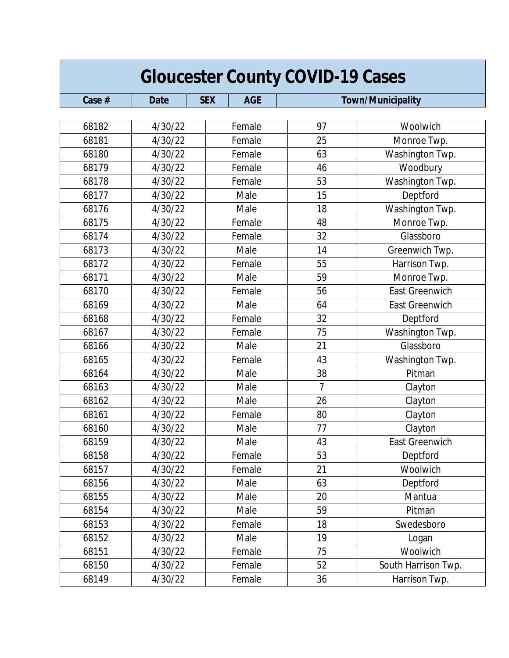| <b>Gloucester County COVID-19 Cases</b> |             |                          |                |                          |
|-----------------------------------------|-------------|--------------------------|----------------|--------------------------|
| Case #                                  | <b>Date</b> | <b>AGE</b><br><b>SEX</b> |                | <b>Town/Municipality</b> |
|                                         |             |                          |                |                          |
| 68182                                   | 4/30/22     | Female                   | 97             | Woolwich                 |
| 68181                                   | 4/30/22     | Female                   | 25             | Monroe Twp.              |
| 68180                                   | 4/30/22     | Female                   | 63             | Washington Twp.          |
| 68179                                   | 4/30/22     | Female                   | 46             | Woodbury                 |
| 68178                                   | 4/30/22     | Female                   | 53             | Washington Twp.          |
| 68177                                   | 4/30/22     | Male                     | 15             | Deptford                 |
| 68176                                   | 4/30/22     | Male                     | 18             | Washington Twp.          |
| 68175                                   | 4/30/22     | Female                   | 48             | Monroe Twp.              |
| 68174                                   | 4/30/22     | Female                   | 32             | Glassboro                |
| 68173                                   | 4/30/22     | Male                     | 14             | Greenwich Twp.           |
| 68172                                   | 4/30/22     | Female                   | 55             | Harrison Twp.            |
| 68171                                   | 4/30/22     | Male                     | 59             | Monroe Twp.              |
| 68170                                   | 4/30/22     | Female                   | 56             | <b>East Greenwich</b>    |
| 68169                                   | 4/30/22     | Male                     | 64             | <b>East Greenwich</b>    |
| 68168                                   | 4/30/22     | Female                   | 32             | Deptford                 |
| 68167                                   | 4/30/22     | Female                   | 75             | Washington Twp.          |
| 68166                                   | 4/30/22     | Male                     | 21             | Glassboro                |
| 68165                                   | 4/30/22     | Female                   | 43             | Washington Twp.          |
| 68164                                   | 4/30/22     | Male                     | 38             | Pitman                   |
| 68163                                   | 4/30/22     | Male                     | $\overline{7}$ | Clayton                  |
| 68162                                   | 4/30/22     | Male                     | 26             | Clayton                  |
| 68161                                   | 4/30/22     | Female                   | 80             | Clayton                  |
| 68160                                   | 4/30/22     | Male                     | 77             | Clayton                  |
| 68159                                   | 4/30/22     | Male                     | 43             | East Greenwich           |
| 68158                                   | 4/30/22     | Female                   | 53             | Deptford                 |
| 68157                                   | 4/30/22     | Female                   | 21             | Woolwich                 |
| 68156                                   | 4/30/22     | Male                     | 63             | Deptford                 |
| 68155                                   | 4/30/22     | Male                     | 20             | Mantua                   |
| 68154                                   | 4/30/22     | Male                     | 59             | Pitman                   |
| 68153                                   | 4/30/22     | Female                   | 18             | Swedesboro               |
| 68152                                   | 4/30/22     | Male                     | 19             | Logan                    |
| 68151                                   | 4/30/22     | Female                   | 75             | Woolwich                 |
| 68150                                   | 4/30/22     | Female                   | 52             | South Harrison Twp.      |
| 68149                                   | 4/30/22     | Female                   | 36             | Harrison Twp.            |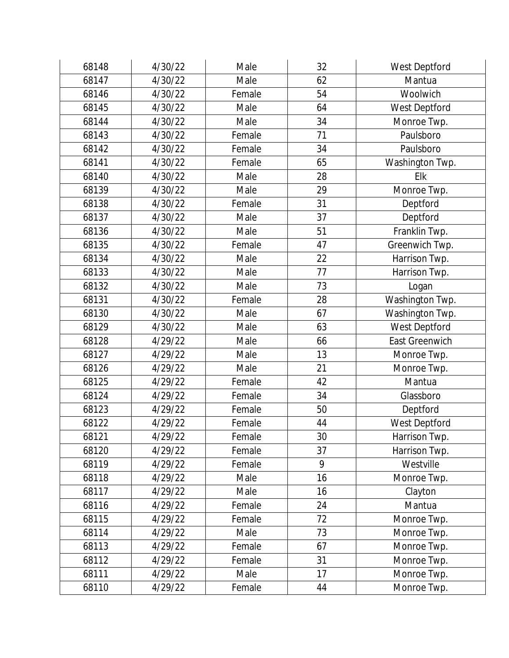| 68148 | 4/30/22 | Male   | 32 | West Deptford         |
|-------|---------|--------|----|-----------------------|
| 68147 | 4/30/22 | Male   | 62 | Mantua                |
| 68146 | 4/30/22 | Female | 54 | Woolwich              |
| 68145 | 4/30/22 | Male   | 64 | West Deptford         |
| 68144 | 4/30/22 | Male   | 34 | Monroe Twp.           |
| 68143 | 4/30/22 | Female | 71 | Paulsboro             |
| 68142 | 4/30/22 | Female | 34 | Paulsboro             |
| 68141 | 4/30/22 | Female | 65 | Washington Twp.       |
| 68140 | 4/30/22 | Male   | 28 | Elk                   |
| 68139 | 4/30/22 | Male   | 29 | Monroe Twp.           |
| 68138 | 4/30/22 | Female | 31 | Deptford              |
| 68137 | 4/30/22 | Male   | 37 | Deptford              |
| 68136 | 4/30/22 | Male   | 51 | Franklin Twp.         |
| 68135 | 4/30/22 | Female | 47 | Greenwich Twp.        |
| 68134 | 4/30/22 | Male   | 22 | Harrison Twp.         |
| 68133 | 4/30/22 | Male   | 77 | Harrison Twp.         |
| 68132 | 4/30/22 | Male   | 73 | Logan                 |
| 68131 | 4/30/22 | Female | 28 | Washington Twp.       |
| 68130 | 4/30/22 | Male   | 67 | Washington Twp.       |
| 68129 | 4/30/22 | Male   | 63 | West Deptford         |
| 68128 | 4/29/22 | Male   | 66 | <b>East Greenwich</b> |
| 68127 | 4/29/22 | Male   | 13 | Monroe Twp.           |
| 68126 | 4/29/22 | Male   | 21 | Monroe Twp.           |
| 68125 | 4/29/22 | Female | 42 | Mantua                |
| 68124 | 4/29/22 | Female | 34 | Glassboro             |
| 68123 | 4/29/22 | Female | 50 | Deptford              |
| 68122 | 4/29/22 | Female | 44 | West Deptford         |
| 68121 | 4/29/22 | Female | 30 | Harrison Twp.         |
| 68120 | 4/29/22 | Female | 37 | Harrison Twp.         |
| 68119 | 4/29/22 | Female | 9  | Westville             |
| 68118 | 4/29/22 | Male   | 16 | Monroe Twp.           |
| 68117 | 4/29/22 | Male   | 16 | Clayton               |
| 68116 | 4/29/22 | Female | 24 | Mantua                |
| 68115 | 4/29/22 | Female | 72 | Monroe Twp.           |
| 68114 | 4/29/22 | Male   | 73 | Monroe Twp.           |
| 68113 | 4/29/22 | Female | 67 | Monroe Twp.           |
| 68112 | 4/29/22 | Female | 31 | Monroe Twp.           |
| 68111 | 4/29/22 | Male   | 17 | Monroe Twp.           |
| 68110 | 4/29/22 | Female | 44 | Monroe Twp.           |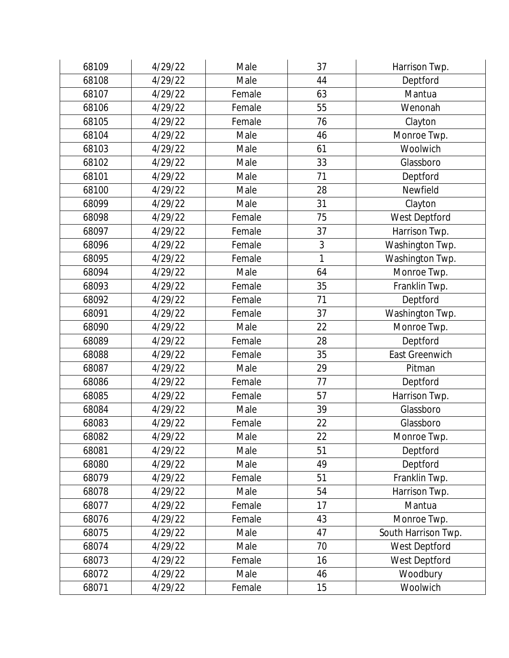| 68109 | 4/29/22 | Male   | 37 | Harrison Twp.         |
|-------|---------|--------|----|-----------------------|
| 68108 | 4/29/22 | Male   | 44 | Deptford              |
| 68107 | 4/29/22 | Female | 63 | Mantua                |
| 68106 | 4/29/22 | Female | 55 | Wenonah               |
| 68105 | 4/29/22 | Female | 76 | Clayton               |
| 68104 | 4/29/22 | Male   | 46 | Monroe Twp.           |
| 68103 | 4/29/22 | Male   | 61 | Woolwich              |
| 68102 | 4/29/22 | Male   | 33 | Glassboro             |
| 68101 | 4/29/22 | Male   | 71 | Deptford              |
| 68100 | 4/29/22 | Male   | 28 | Newfield              |
| 68099 | 4/29/22 | Male   | 31 | Clayton               |
| 68098 | 4/29/22 | Female | 75 | West Deptford         |
| 68097 | 4/29/22 | Female | 37 | Harrison Twp.         |
| 68096 | 4/29/22 | Female | 3  | Washington Twp.       |
| 68095 | 4/29/22 | Female | 1  | Washington Twp.       |
| 68094 | 4/29/22 | Male   | 64 | Monroe Twp.           |
| 68093 | 4/29/22 | Female | 35 | Franklin Twp.         |
| 68092 | 4/29/22 | Female | 71 | Deptford              |
| 68091 | 4/29/22 | Female | 37 | Washington Twp.       |
| 68090 | 4/29/22 | Male   | 22 | Monroe Twp.           |
| 68089 | 4/29/22 | Female | 28 | Deptford              |
| 68088 | 4/29/22 | Female | 35 | <b>East Greenwich</b> |
| 68087 | 4/29/22 | Male   | 29 | Pitman                |
| 68086 | 4/29/22 | Female | 77 | Deptford              |
| 68085 | 4/29/22 | Female | 57 | Harrison Twp.         |
| 68084 | 4/29/22 | Male   | 39 | Glassboro             |
| 68083 | 4/29/22 | Female | 22 | Glassboro             |
| 68082 | 4/29/22 | Male   | 22 | Monroe Twp.           |
| 68081 | 4/29/22 | Male   | 51 | Deptford              |
| 68080 | 4/29/22 | Male   | 49 | Deptford              |
| 68079 | 4/29/22 | Female | 51 | Franklin Twp.         |
| 68078 | 4/29/22 | Male   | 54 | Harrison Twp.         |
| 68077 | 4/29/22 | Female | 17 | Mantua                |
| 68076 | 4/29/22 | Female | 43 | Monroe Twp.           |
| 68075 | 4/29/22 | Male   | 47 | South Harrison Twp.   |
| 68074 | 4/29/22 | Male   | 70 | West Deptford         |
| 68073 | 4/29/22 | Female | 16 | West Deptford         |
| 68072 | 4/29/22 | Male   | 46 | Woodbury              |
| 68071 | 4/29/22 | Female | 15 | Woolwich              |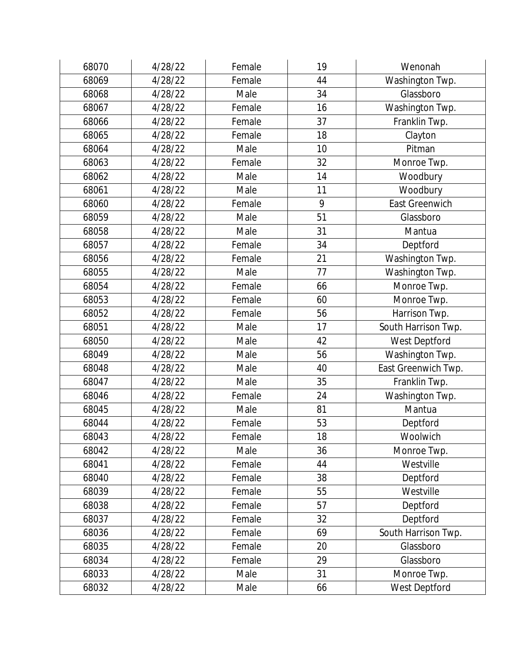| 68070 | 4/28/22 | Female | 19 | Wenonah             |
|-------|---------|--------|----|---------------------|
| 68069 | 4/28/22 | Female | 44 | Washington Twp.     |
| 68068 | 4/28/22 | Male   | 34 | Glassboro           |
| 68067 | 4/28/22 | Female | 16 | Washington Twp.     |
| 68066 | 4/28/22 | Female | 37 | Franklin Twp.       |
| 68065 | 4/28/22 | Female | 18 | Clayton             |
| 68064 | 4/28/22 | Male   | 10 | Pitman              |
| 68063 | 4/28/22 | Female | 32 | Monroe Twp.         |
| 68062 | 4/28/22 | Male   | 14 | Woodbury            |
| 68061 | 4/28/22 | Male   | 11 | Woodbury            |
| 68060 | 4/28/22 | Female | 9  | East Greenwich      |
| 68059 | 4/28/22 | Male   | 51 | Glassboro           |
| 68058 | 4/28/22 | Male   | 31 | Mantua              |
| 68057 | 4/28/22 | Female | 34 | Deptford            |
| 68056 | 4/28/22 | Female | 21 | Washington Twp.     |
| 68055 | 4/28/22 | Male   | 77 | Washington Twp.     |
| 68054 | 4/28/22 | Female | 66 | Monroe Twp.         |
| 68053 | 4/28/22 | Female | 60 | Monroe Twp.         |
| 68052 | 4/28/22 | Female | 56 | Harrison Twp.       |
| 68051 | 4/28/22 | Male   | 17 | South Harrison Twp. |
| 68050 | 4/28/22 | Male   | 42 | West Deptford       |
| 68049 | 4/28/22 | Male   | 56 | Washington Twp.     |
| 68048 | 4/28/22 | Male   | 40 | East Greenwich Twp. |
| 68047 | 4/28/22 | Male   | 35 | Franklin Twp.       |
| 68046 | 4/28/22 | Female | 24 | Washington Twp.     |
| 68045 | 4/28/22 | Male   | 81 | Mantua              |
| 68044 | 4/28/22 | Female | 53 | Deptford            |
| 68043 | 4/28/22 | Female | 18 | Woolwich            |
| 68042 | 4/28/22 | Male   | 36 | Monroe Twp.         |
| 68041 | 4/28/22 | Female | 44 | Westville           |
| 68040 | 4/28/22 | Female | 38 | Deptford            |
| 68039 | 4/28/22 | Female | 55 | Westville           |
| 68038 | 4/28/22 | Female | 57 | Deptford            |
| 68037 | 4/28/22 | Female | 32 | Deptford            |
| 68036 | 4/28/22 | Female | 69 | South Harrison Twp. |
| 68035 | 4/28/22 | Female | 20 | Glassboro           |
| 68034 | 4/28/22 | Female | 29 | Glassboro           |
| 68033 | 4/28/22 | Male   | 31 | Monroe Twp.         |
| 68032 | 4/28/22 | Male   | 66 | West Deptford       |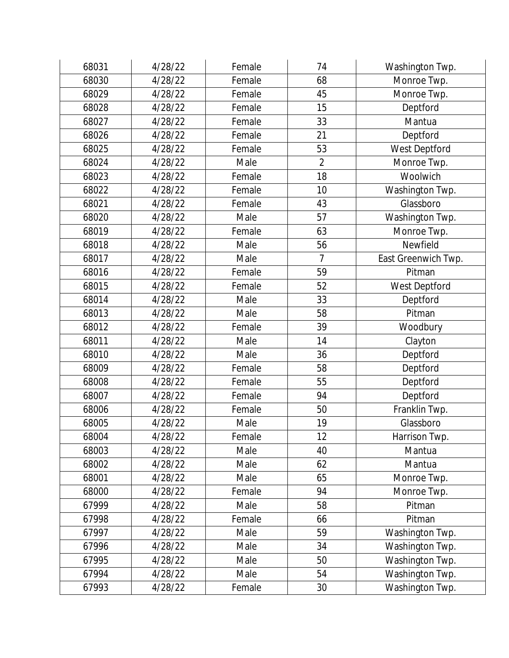| 68031 | 4/28/22 | Female | 74             | Washington Twp.     |
|-------|---------|--------|----------------|---------------------|
| 68030 | 4/28/22 | Female | 68             | Monroe Twp.         |
| 68029 | 4/28/22 | Female | 45             | Monroe Twp.         |
| 68028 | 4/28/22 | Female | 15             | Deptford            |
| 68027 | 4/28/22 | Female | 33             | Mantua              |
| 68026 | 4/28/22 | Female | 21             | Deptford            |
| 68025 | 4/28/22 | Female | 53             | West Deptford       |
| 68024 | 4/28/22 | Male   | $\overline{2}$ | Monroe Twp.         |
| 68023 | 4/28/22 | Female | 18             | Woolwich            |
| 68022 | 4/28/22 | Female | 10             | Washington Twp.     |
| 68021 | 4/28/22 | Female | 43             | Glassboro           |
| 68020 | 4/28/22 | Male   | 57             | Washington Twp.     |
| 68019 | 4/28/22 | Female | 63             | Monroe Twp.         |
| 68018 | 4/28/22 | Male   | 56             | Newfield            |
| 68017 | 4/28/22 | Male   | 7              | East Greenwich Twp. |
| 68016 | 4/28/22 | Female | 59             | Pitman              |
| 68015 | 4/28/22 | Female | 52             | West Deptford       |
| 68014 | 4/28/22 | Male   | 33             | Deptford            |
| 68013 | 4/28/22 | Male   | 58             | Pitman              |
| 68012 | 4/28/22 | Female | 39             | Woodbury            |
| 68011 | 4/28/22 | Male   | 14             | Clayton             |
| 68010 | 4/28/22 | Male   | 36             | Deptford            |
| 68009 | 4/28/22 | Female | 58             | Deptford            |
| 68008 | 4/28/22 | Female | 55             | Deptford            |
| 68007 | 4/28/22 | Female | 94             | Deptford            |
| 68006 | 4/28/22 | Female | 50             | Franklin Twp.       |
| 68005 | 4/28/22 | Male   | 19             | Glassboro           |
| 68004 | 4/28/22 | Female | 12             | Harrison Twp.       |
| 68003 | 4/28/22 | Male   | 40             | Mantua              |
| 68002 | 4/28/22 | Male   | 62             | Mantua              |
| 68001 | 4/28/22 | Male   | 65             | Monroe Twp.         |
| 68000 | 4/28/22 | Female | 94             | Monroe Twp.         |
| 67999 | 4/28/22 | Male   | 58             | Pitman              |
| 67998 | 4/28/22 | Female | 66             | Pitman              |
| 67997 | 4/28/22 | Male   | 59             | Washington Twp.     |
| 67996 | 4/28/22 | Male   | 34             | Washington Twp.     |
| 67995 | 4/28/22 | Male   | 50             | Washington Twp.     |
| 67994 | 4/28/22 | Male   | 54             | Washington Twp.     |
| 67993 | 4/28/22 | Female | 30             | Washington Twp.     |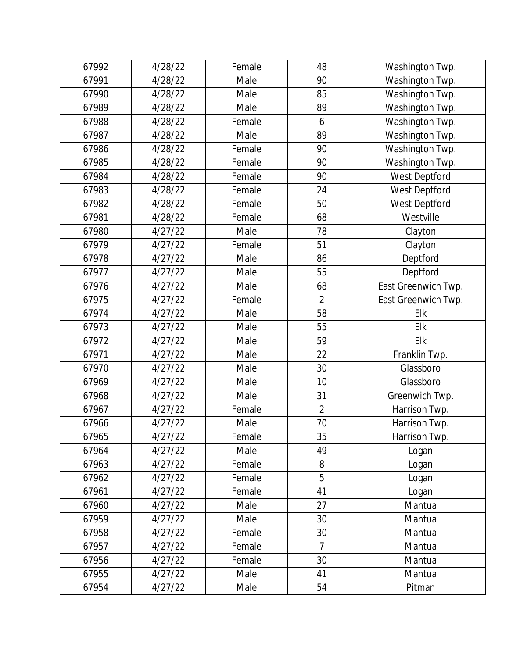| 67992 | 4/28/22 | Female | 48             | Washington Twp.     |
|-------|---------|--------|----------------|---------------------|
| 67991 | 4/28/22 | Male   | 90             | Washington Twp.     |
| 67990 | 4/28/22 | Male   | 85             | Washington Twp.     |
| 67989 | 4/28/22 | Male   | 89             | Washington Twp.     |
| 67988 | 4/28/22 | Female | 6              | Washington Twp.     |
| 67987 | 4/28/22 | Male   | 89             | Washington Twp.     |
| 67986 | 4/28/22 | Female | 90             | Washington Twp.     |
| 67985 | 4/28/22 | Female | 90             | Washington Twp.     |
| 67984 | 4/28/22 | Female | 90             | West Deptford       |
| 67983 | 4/28/22 | Female | 24             | West Deptford       |
| 67982 | 4/28/22 | Female | 50             | West Deptford       |
| 67981 | 4/28/22 | Female | 68             | Westville           |
| 67980 | 4/27/22 | Male   | 78             | Clayton             |
| 67979 | 4/27/22 | Female | 51             | Clayton             |
| 67978 | 4/27/22 | Male   | 86             | Deptford            |
| 67977 | 4/27/22 | Male   | 55             | Deptford            |
| 67976 | 4/27/22 | Male   | 68             | East Greenwich Twp. |
| 67975 | 4/27/22 | Female | $\overline{2}$ | East Greenwich Twp. |
| 67974 | 4/27/22 | Male   | 58             | Elk                 |
| 67973 | 4/27/22 | Male   | 55             | Elk                 |
| 67972 | 4/27/22 | Male   | 59             | Elk                 |
| 67971 | 4/27/22 | Male   | 22             | Franklin Twp.       |
| 67970 | 4/27/22 | Male   | 30             | Glassboro           |
| 67969 | 4/27/22 | Male   | 10             | Glassboro           |
| 67968 | 4/27/22 | Male   | 31             | Greenwich Twp.      |
| 67967 | 4/27/22 | Female | $\overline{2}$ | Harrison Twp.       |
| 67966 | 4/27/22 | Male   | 70             | Harrison Twp.       |
| 67965 | 4/27/22 | Female | 35             | Harrison Twp.       |
| 67964 | 4/27/22 | Male   | 49             | Logan               |
| 67963 | 4/27/22 | Female | 8              | Logan               |
| 67962 | 4/27/22 | Female | 5              | Logan               |
| 67961 | 4/27/22 | Female | 41             | Logan               |
| 67960 | 4/27/22 | Male   | 27             | Mantua              |
| 67959 | 4/27/22 | Male   | 30             | Mantua              |
| 67958 | 4/27/22 | Female | 30             | Mantua              |
| 67957 | 4/27/22 | Female | $\overline{7}$ | Mantua              |
| 67956 | 4/27/22 | Female | 30             | Mantua              |
| 67955 | 4/27/22 | Male   | 41             | Mantua              |
| 67954 | 4/27/22 | Male   | 54             | Pitman              |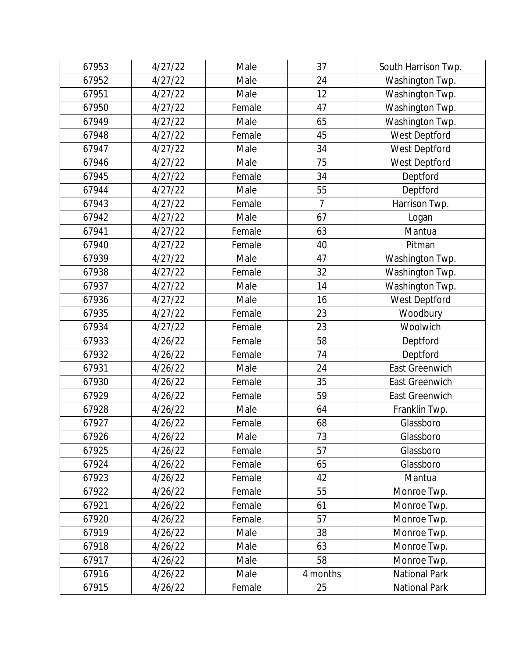| 67953 | 4/27/22 | Male   | 37       | South Harrison Twp.   |
|-------|---------|--------|----------|-----------------------|
| 67952 | 4/27/22 | Male   | 24       | Washington Twp.       |
| 67951 | 4/27/22 | Male   | 12       | Washington Twp.       |
| 67950 | 4/27/22 | Female | 47       | Washington Twp.       |
| 67949 | 4/27/22 | Male   | 65       | Washington Twp.       |
| 67948 | 4/27/22 | Female | 45       | West Deptford         |
| 67947 | 4/27/22 | Male   | 34       | West Deptford         |
| 67946 | 4/27/22 | Male   | 75       | West Deptford         |
| 67945 | 4/27/22 | Female | 34       | Deptford              |
| 67944 | 4/27/22 | Male   | 55       | Deptford              |
| 67943 | 4/27/22 | Female | 7        | Harrison Twp.         |
| 67942 | 4/27/22 | Male   | 67       | Logan                 |
| 67941 | 4/27/22 | Female | 63       | Mantua                |
| 67940 | 4/27/22 | Female | 40       | Pitman                |
| 67939 | 4/27/22 | Male   | 47       | Washington Twp.       |
| 67938 | 4/27/22 | Female | 32       | Washington Twp.       |
| 67937 | 4/27/22 | Male   | 14       | Washington Twp.       |
| 67936 | 4/27/22 | Male   | 16       | West Deptford         |
| 67935 | 4/27/22 | Female | 23       | Woodbury              |
| 67934 | 4/27/22 | Female | 23       | Woolwich              |
| 67933 | 4/26/22 | Female | 58       | Deptford              |
| 67932 | 4/26/22 | Female | 74       | Deptford              |
| 67931 | 4/26/22 | Male   | 24       | East Greenwich        |
| 67930 | 4/26/22 | Female | 35       | <b>East Greenwich</b> |
| 67929 | 4/26/22 | Female | 59       | <b>East Greenwich</b> |
| 67928 | 4/26/22 | Male   | 64       | Franklin Twp.         |
| 67927 | 4/26/22 | Female | 68       | Glassboro             |
| 67926 | 4/26/22 | Male   | 73       | Glassboro             |
| 67925 | 4/26/22 | Female | 57       | Glassboro             |
| 67924 | 4/26/22 | Female | 65       | Glassboro             |
| 67923 | 4/26/22 | Female | 42       | Mantua                |
| 67922 | 4/26/22 | Female | 55       | Monroe Twp.           |
| 67921 | 4/26/22 | Female | 61       | Monroe Twp.           |
| 67920 | 4/26/22 | Female | 57       | Monroe Twp.           |
| 67919 | 4/26/22 | Male   | 38       | Monroe Twp.           |
| 67918 | 4/26/22 | Male   | 63       | Monroe Twp.           |
| 67917 | 4/26/22 | Male   | 58       | Monroe Twp.           |
| 67916 | 4/26/22 | Male   | 4 months | <b>National Park</b>  |
| 67915 | 4/26/22 | Female | 25       | National Park         |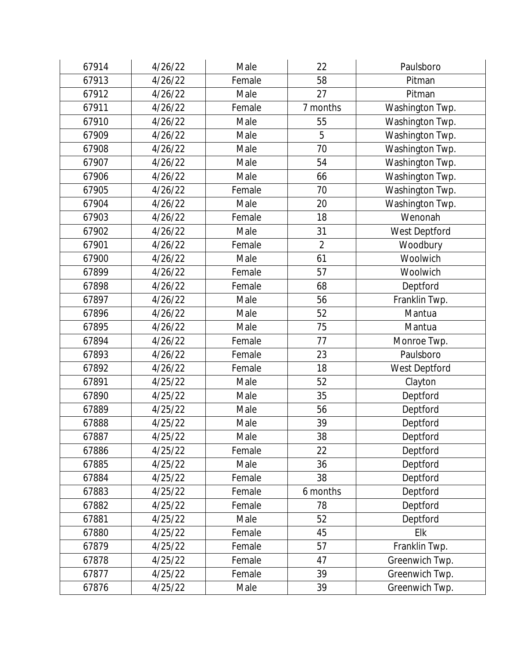| 67914 | 4/26/22 | Male   | 22             | Paulsboro       |
|-------|---------|--------|----------------|-----------------|
| 67913 | 4/26/22 | Female | 58             | Pitman          |
| 67912 | 4/26/22 | Male   | 27             | Pitman          |
| 67911 | 4/26/22 | Female | 7 months       | Washington Twp. |
| 67910 | 4/26/22 | Male   | 55             | Washington Twp. |
| 67909 | 4/26/22 | Male   | 5              | Washington Twp. |
| 67908 | 4/26/22 | Male   | 70             | Washington Twp. |
| 67907 | 4/26/22 | Male   | 54             | Washington Twp. |
| 67906 | 4/26/22 | Male   | 66             | Washington Twp. |
| 67905 | 4/26/22 | Female | 70             | Washington Twp. |
| 67904 | 4/26/22 | Male   | 20             | Washington Twp. |
| 67903 | 4/26/22 | Female | 18             | Wenonah         |
| 67902 | 4/26/22 | Male   | 31             | West Deptford   |
| 67901 | 4/26/22 | Female | $\overline{2}$ | Woodbury        |
| 67900 | 4/26/22 | Male   | 61             | Woolwich        |
| 67899 | 4/26/22 | Female | 57             | Woolwich        |
| 67898 | 4/26/22 | Female | 68             | Deptford        |
| 67897 | 4/26/22 | Male   | 56             | Franklin Twp.   |
| 67896 | 4/26/22 | Male   | 52             | Mantua          |
| 67895 | 4/26/22 | Male   | 75             | Mantua          |
| 67894 | 4/26/22 | Female | 77             | Monroe Twp.     |
| 67893 | 4/26/22 | Female | 23             | Paulsboro       |
| 67892 | 4/26/22 | Female | 18             | West Deptford   |
| 67891 | 4/25/22 | Male   | 52             | Clayton         |
| 67890 | 4/25/22 | Male   | 35             | Deptford        |
| 67889 | 4/25/22 | Male   | 56             | Deptford        |
| 67888 | 4/25/22 | Male   | 39             | Deptford        |
| 67887 | 4/25/22 | Male   | 38             | Deptford        |
| 67886 | 4/25/22 | Female | 22             | Deptford        |
| 67885 | 4/25/22 | Male   | 36             | Deptford        |
| 67884 | 4/25/22 | Female | 38             | Deptford        |
| 67883 | 4/25/22 | Female | 6 months       | Deptford        |
| 67882 | 4/25/22 | Female | 78             | Deptford        |
| 67881 | 4/25/22 | Male   | 52             | Deptford        |
| 67880 | 4/25/22 | Female | 45             | Elk             |
| 67879 | 4/25/22 | Female | 57             | Franklin Twp.   |
| 67878 | 4/25/22 | Female | 47             | Greenwich Twp.  |
| 67877 | 4/25/22 | Female | 39             | Greenwich Twp.  |
| 67876 | 4/25/22 | Male   | 39             | Greenwich Twp.  |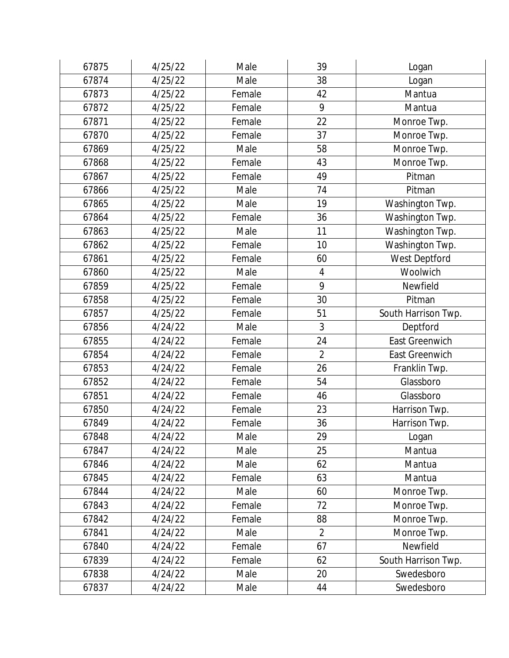| 67875 | 4/25/22 | Male   | 39             | Logan                 |
|-------|---------|--------|----------------|-----------------------|
| 67874 | 4/25/22 | Male   | 38             | Logan                 |
| 67873 | 4/25/22 | Female | 42             | Mantua                |
| 67872 | 4/25/22 | Female | 9              | Mantua                |
| 67871 | 4/25/22 | Female | 22             | Monroe Twp.           |
| 67870 | 4/25/22 | Female | 37             | Monroe Twp.           |
| 67869 | 4/25/22 | Male   | 58             | Monroe Twp.           |
| 67868 | 4/25/22 | Female | 43             | Monroe Twp.           |
| 67867 | 4/25/22 | Female | 49             | Pitman                |
| 67866 | 4/25/22 | Male   | 74             | Pitman                |
| 67865 | 4/25/22 | Male   | 19             | Washington Twp.       |
| 67864 | 4/25/22 | Female | 36             | Washington Twp.       |
| 67863 | 4/25/22 | Male   | 11             | Washington Twp.       |
| 67862 | 4/25/22 | Female | 10             | Washington Twp.       |
| 67861 | 4/25/22 | Female | 60             | West Deptford         |
| 67860 | 4/25/22 | Male   | $\overline{4}$ | Woolwich              |
| 67859 | 4/25/22 | Female | 9              | Newfield              |
| 67858 | 4/25/22 | Female | 30             | Pitman                |
| 67857 | 4/25/22 | Female | 51             | South Harrison Twp.   |
| 67856 | 4/24/22 | Male   | 3              | Deptford              |
| 67855 | 4/24/22 | Female | 24             | East Greenwich        |
| 67854 | 4/24/22 | Female | $\overline{2}$ | <b>East Greenwich</b> |
| 67853 | 4/24/22 | Female | 26             | Franklin Twp.         |
| 67852 | 4/24/22 | Female | 54             | Glassboro             |
| 67851 | 4/24/22 | Female | 46             | Glassboro             |
| 67850 | 4/24/22 | Female | 23             | Harrison Twp.         |
| 67849 | 4/24/22 | Female | 36             | Harrison Twp.         |
| 67848 | 4/24/22 | Male   | 29             | Logan                 |
| 67847 | 4/24/22 | Male   | 25             | Mantua                |
| 67846 | 4/24/22 | Male   | 62             | Mantua                |
| 67845 | 4/24/22 | Female | 63             | Mantua                |
| 67844 | 4/24/22 | Male   | 60             | Monroe Twp.           |
| 67843 | 4/24/22 | Female | 72             | Monroe Twp.           |
| 67842 | 4/24/22 | Female | 88             | Monroe Twp.           |
| 67841 | 4/24/22 | Male   | $\overline{2}$ | Monroe Twp.           |
| 67840 | 4/24/22 | Female | 67             | Newfield              |
| 67839 | 4/24/22 | Female | 62             | South Harrison Twp.   |
| 67838 | 4/24/22 | Male   | 20             | Swedesboro            |
| 67837 | 4/24/22 | Male   | 44             | Swedesboro            |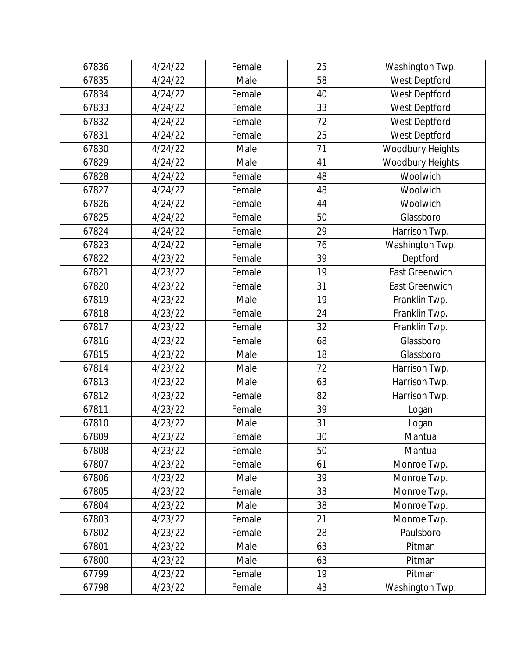| 67836 | 4/24/22 | Female | 25 | Washington Twp.       |
|-------|---------|--------|----|-----------------------|
| 67835 | 4/24/22 | Male   | 58 | West Deptford         |
| 67834 | 4/24/22 | Female | 40 | West Deptford         |
| 67833 | 4/24/22 | Female | 33 | West Deptford         |
| 67832 | 4/24/22 | Female | 72 | West Deptford         |
| 67831 | 4/24/22 | Female | 25 | West Deptford         |
| 67830 | 4/24/22 | Male   | 71 | Woodbury Heights      |
| 67829 | 4/24/22 | Male   | 41 | Woodbury Heights      |
| 67828 | 4/24/22 | Female | 48 | Woolwich              |
| 67827 | 4/24/22 | Female | 48 | Woolwich              |
| 67826 | 4/24/22 | Female | 44 | Woolwich              |
| 67825 | 4/24/22 | Female | 50 | Glassboro             |
| 67824 | 4/24/22 | Female | 29 | Harrison Twp.         |
| 67823 | 4/24/22 | Female | 76 | Washington Twp.       |
| 67822 | 4/23/22 | Female | 39 | Deptford              |
| 67821 | 4/23/22 | Female | 19 | <b>East Greenwich</b> |
| 67820 | 4/23/22 | Female | 31 | <b>East Greenwich</b> |
| 67819 | 4/23/22 | Male   | 19 | Franklin Twp.         |
| 67818 | 4/23/22 | Female | 24 | Franklin Twp.         |
| 67817 | 4/23/22 | Female | 32 | Franklin Twp.         |
| 67816 | 4/23/22 | Female | 68 | Glassboro             |
| 67815 | 4/23/22 | Male   | 18 | Glassboro             |
| 67814 | 4/23/22 | Male   | 72 | Harrison Twp.         |
| 67813 | 4/23/22 | Male   | 63 | Harrison Twp.         |
| 67812 | 4/23/22 | Female | 82 | Harrison Twp.         |
| 67811 | 4/23/22 | Female | 39 | Logan                 |
| 67810 | 4/23/22 | Male   | 31 | Logan                 |
| 67809 | 4/23/22 | Female | 30 | Mantua                |
| 67808 | 4/23/22 | Female | 50 | Mantua                |
| 67807 | 4/23/22 | Female | 61 | Monroe Twp.           |
| 67806 | 4/23/22 | Male   | 39 | Monroe Twp.           |
| 67805 | 4/23/22 | Female | 33 | Monroe Twp.           |
| 67804 | 4/23/22 | Male   | 38 | Monroe Twp.           |
| 67803 | 4/23/22 | Female | 21 | Monroe Twp.           |
| 67802 | 4/23/22 | Female | 28 | Paulsboro             |
| 67801 | 4/23/22 | Male   | 63 | Pitman                |
| 67800 | 4/23/22 | Male   | 63 | Pitman                |
| 67799 | 4/23/22 | Female | 19 | Pitman                |
| 67798 | 4/23/22 | Female | 43 | Washington Twp.       |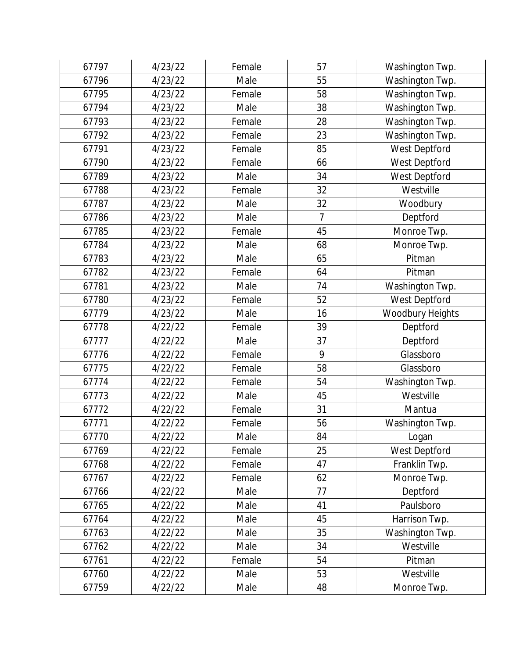| 67797 | 4/23/22 | Female | 57             | Washington Twp.  |
|-------|---------|--------|----------------|------------------|
| 67796 | 4/23/22 | Male   | 55             | Washington Twp.  |
| 67795 | 4/23/22 | Female | 58             | Washington Twp.  |
| 67794 | 4/23/22 | Male   | 38             | Washington Twp.  |
| 67793 | 4/23/22 | Female | 28             | Washington Twp.  |
| 67792 | 4/23/22 | Female | 23             | Washington Twp.  |
| 67791 | 4/23/22 | Female | 85             | West Deptford    |
| 67790 | 4/23/22 | Female | 66             | West Deptford    |
| 67789 | 4/23/22 | Male   | 34             | West Deptford    |
| 67788 | 4/23/22 | Female | 32             | Westville        |
| 67787 | 4/23/22 | Male   | 32             | Woodbury         |
| 67786 | 4/23/22 | Male   | $\overline{7}$ | Deptford         |
| 67785 | 4/23/22 | Female | 45             | Monroe Twp.      |
| 67784 | 4/23/22 | Male   | 68             | Monroe Twp.      |
| 67783 | 4/23/22 | Male   | 65             | Pitman           |
| 67782 | 4/23/22 | Female | 64             | Pitman           |
| 67781 | 4/23/22 | Male   | 74             | Washington Twp.  |
| 67780 | 4/23/22 | Female | 52             | West Deptford    |
| 67779 | 4/23/22 | Male   | 16             | Woodbury Heights |
| 67778 | 4/22/22 | Female | 39             | Deptford         |
| 67777 | 4/22/22 | Male   | 37             | Deptford         |
| 67776 | 4/22/22 | Female | 9              | Glassboro        |
| 67775 | 4/22/22 | Female | 58             | Glassboro        |
| 67774 | 4/22/22 | Female | 54             | Washington Twp.  |
| 67773 | 4/22/22 | Male   | 45             | Westville        |
| 67772 | 4/22/22 | Female | 31             | Mantua           |
| 67771 | 4/22/22 | Female | 56             | Washington Twp.  |
| 67770 | 4/22/22 | Male   | 84             | Logan            |
| 67769 | 4/22/22 | Female | 25             | West Deptford    |
| 67768 | 4/22/22 | Female | 47             | Franklin Twp.    |
| 67767 | 4/22/22 | Female | 62             | Monroe Twp.      |
| 67766 | 4/22/22 | Male   | 77             | Deptford         |
| 67765 | 4/22/22 | Male   | 41             | Paulsboro        |
| 67764 | 4/22/22 | Male   | 45             | Harrison Twp.    |
| 67763 | 4/22/22 | Male   | 35             | Washington Twp.  |
| 67762 | 4/22/22 | Male   | 34             | Westville        |
| 67761 | 4/22/22 | Female | 54             | Pitman           |
| 67760 | 4/22/22 | Male   | 53             | Westville        |
| 67759 | 4/22/22 | Male   | 48             | Monroe Twp.      |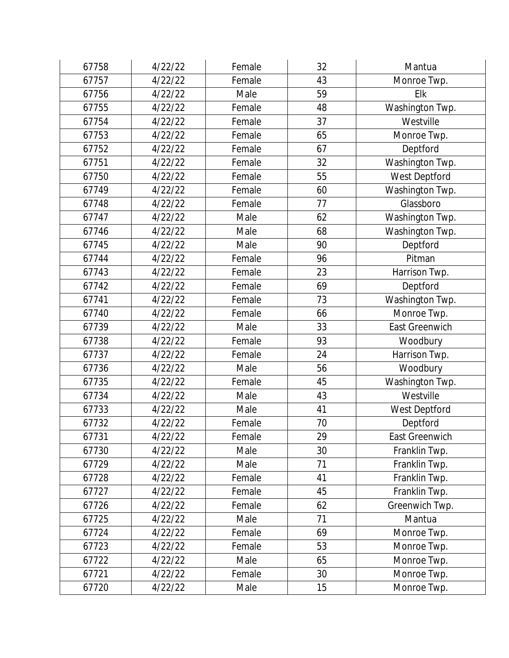| 67758 | 4/22/22 | Female | 32 | Mantua          |
|-------|---------|--------|----|-----------------|
| 67757 | 4/22/22 | Female | 43 | Monroe Twp.     |
| 67756 | 4/22/22 | Male   | 59 | Elk             |
| 67755 | 4/22/22 | Female | 48 | Washington Twp. |
| 67754 | 4/22/22 | Female | 37 | Westville       |
| 67753 | 4/22/22 | Female | 65 | Monroe Twp.     |
| 67752 | 4/22/22 | Female | 67 | Deptford        |
| 67751 | 4/22/22 | Female | 32 | Washington Twp. |
| 67750 | 4/22/22 | Female | 55 | West Deptford   |
| 67749 | 4/22/22 | Female | 60 | Washington Twp. |
| 67748 | 4/22/22 | Female | 77 | Glassboro       |
| 67747 | 4/22/22 | Male   | 62 | Washington Twp. |
| 67746 | 4/22/22 | Male   | 68 | Washington Twp. |
| 67745 | 4/22/22 | Male   | 90 | Deptford        |
| 67744 | 4/22/22 | Female | 96 | Pitman          |
| 67743 | 4/22/22 | Female | 23 | Harrison Twp.   |
| 67742 | 4/22/22 | Female | 69 | Deptford        |
| 67741 | 4/22/22 | Female | 73 | Washington Twp. |
| 67740 | 4/22/22 | Female | 66 | Monroe Twp.     |
| 67739 | 4/22/22 | Male   | 33 | East Greenwich  |
| 67738 | 4/22/22 | Female | 93 | Woodbury        |
| 67737 | 4/22/22 | Female | 24 | Harrison Twp.   |
| 67736 | 4/22/22 | Male   | 56 | Woodbury        |
| 67735 | 4/22/22 | Female | 45 | Washington Twp. |
| 67734 | 4/22/22 | Male   | 43 | Westville       |
| 67733 | 4/22/22 | Male   | 41 | West Deptford   |
| 67732 | 4/22/22 | Female | 70 | Deptford        |
| 67731 | 4/22/22 | Female | 29 | East Greenwich  |
| 67730 | 4/22/22 | Male   | 30 | Franklin Twp.   |
| 67729 | 4/22/22 | Male   | 71 | Franklin Twp.   |
| 67728 | 4/22/22 | Female | 41 | Franklin Twp.   |
| 67727 | 4/22/22 | Female | 45 | Franklin Twp.   |
| 67726 | 4/22/22 | Female | 62 | Greenwich Twp.  |
| 67725 | 4/22/22 | Male   | 71 | Mantua          |
| 67724 | 4/22/22 | Female | 69 | Monroe Twp.     |
| 67723 | 4/22/22 | Female | 53 | Monroe Twp.     |
| 67722 | 4/22/22 | Male   | 65 | Monroe Twp.     |
| 67721 | 4/22/22 | Female | 30 | Monroe Twp.     |
| 67720 | 4/22/22 | Male   | 15 | Monroe Twp.     |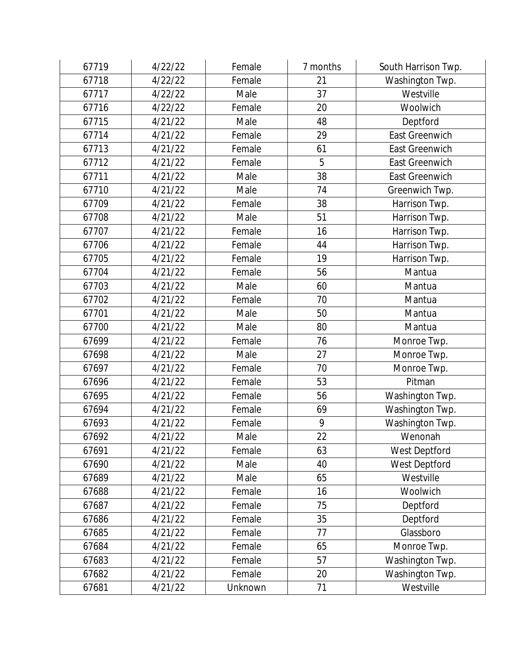| 67719 | 4/22/22 | Female  | 7 months | South Harrison Twp.   |
|-------|---------|---------|----------|-----------------------|
| 67718 | 4/22/22 | Female  | 21       | Washington Twp.       |
| 67717 | 4/22/22 | Male    | 37       | Westville             |
| 67716 | 4/22/22 | Female  | 20       | Woolwich              |
| 67715 | 4/21/22 | Male    | 48       | Deptford              |
| 67714 | 4/21/22 | Female  | 29       | <b>East Greenwich</b> |
| 67713 | 4/21/22 | Female  | 61       | <b>East Greenwich</b> |
| 67712 | 4/21/22 | Female  | 5        | <b>East Greenwich</b> |
| 67711 | 4/21/22 | Male    | 38       | <b>East Greenwich</b> |
| 67710 | 4/21/22 | Male    | 74       | Greenwich Twp.        |
| 67709 | 4/21/22 | Female  | 38       | Harrison Twp.         |
| 67708 | 4/21/22 | Male    | 51       | Harrison Twp.         |
| 67707 | 4/21/22 | Female  | 16       | Harrison Twp.         |
| 67706 | 4/21/22 | Female  | 44       | Harrison Twp.         |
| 67705 | 4/21/22 | Female  | 19       | Harrison Twp.         |
| 67704 | 4/21/22 | Female  | 56       | Mantua                |
| 67703 | 4/21/22 | Male    | 60       | Mantua                |
| 67702 | 4/21/22 | Female  | 70       | Mantua                |
| 67701 | 4/21/22 | Male    | 50       | Mantua                |
| 67700 | 4/21/22 | Male    | 80       | Mantua                |
| 67699 | 4/21/22 | Female  | 76       | Monroe Twp.           |
| 67698 | 4/21/22 | Male    | 27       | Monroe Twp.           |
| 67697 | 4/21/22 | Female  | 70       | Monroe Twp.           |
| 67696 | 4/21/22 | Female  | 53       | Pitman                |
| 67695 | 4/21/22 | Female  | 56       | Washington Twp.       |
| 67694 | 4/21/22 | Female  | 69       | Washington Twp.       |
| 67693 | 4/21/22 | Female  | 9        | Washington Twp.       |
| 67692 | 4/21/22 | Male    | 22       | Wenonah               |
| 67691 | 4/21/22 | Female  | 63       | West Deptford         |
| 67690 | 4/21/22 | Male    | 40       | West Deptford         |
| 67689 | 4/21/22 | Male    | 65       | Westville             |
| 67688 | 4/21/22 | Female  | 16       | Woolwich              |
| 67687 | 4/21/22 | Female  | 75       | Deptford              |
| 67686 | 4/21/22 | Female  | 35       | Deptford              |
| 67685 | 4/21/22 | Female  | 77       | Glassboro             |
| 67684 | 4/21/22 | Female  | 65       | Monroe Twp.           |
| 67683 | 4/21/22 | Female  | 57       | Washington Twp.       |
| 67682 | 4/21/22 | Female  | 20       | Washington Twp.       |
| 67681 | 4/21/22 | Unknown | 71       | Westville             |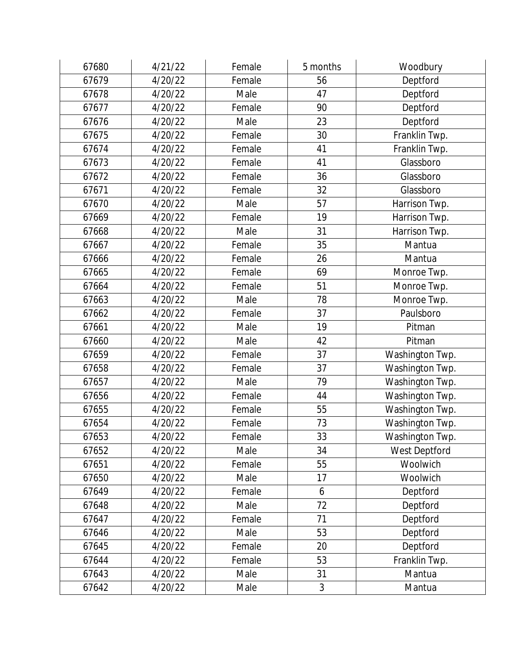| 67680 | 4/21/22 | Female | 5 months | Woodbury        |
|-------|---------|--------|----------|-----------------|
| 67679 | 4/20/22 | Female | 56       | Deptford        |
| 67678 | 4/20/22 | Male   | 47       | Deptford        |
| 67677 | 4/20/22 | Female | 90       | Deptford        |
| 67676 | 4/20/22 | Male   | 23       | Deptford        |
| 67675 | 4/20/22 | Female | 30       | Franklin Twp.   |
| 67674 | 4/20/22 | Female | 41       | Franklin Twp.   |
| 67673 | 4/20/22 | Female | 41       | Glassboro       |
| 67672 | 4/20/22 | Female | 36       | Glassboro       |
| 67671 | 4/20/22 | Female | 32       | Glassboro       |
| 67670 | 4/20/22 | Male   | 57       | Harrison Twp.   |
| 67669 | 4/20/22 | Female | 19       | Harrison Twp.   |
| 67668 | 4/20/22 | Male   | 31       | Harrison Twp.   |
| 67667 | 4/20/22 | Female | 35       | Mantua          |
| 67666 | 4/20/22 | Female | 26       | Mantua          |
| 67665 | 4/20/22 | Female | 69       | Monroe Twp.     |
| 67664 | 4/20/22 | Female | 51       | Monroe Twp.     |
| 67663 | 4/20/22 | Male   | 78       | Monroe Twp.     |
| 67662 | 4/20/22 | Female | 37       | Paulsboro       |
| 67661 | 4/20/22 | Male   | 19       | Pitman          |
| 67660 | 4/20/22 | Male   | 42       | Pitman          |
| 67659 | 4/20/22 | Female | 37       | Washington Twp. |
| 67658 | 4/20/22 | Female | 37       | Washington Twp. |
| 67657 | 4/20/22 | Male   | 79       | Washington Twp. |
| 67656 | 4/20/22 | Female | 44       | Washington Twp. |
| 67655 | 4/20/22 | Female | 55       | Washington Twp. |
| 67654 | 4/20/22 | Female | 73       | Washington Twp. |
| 67653 | 4/20/22 | Female | 33       | Washington Twp. |
| 67652 | 4/20/22 | Male   | 34       | West Deptford   |
| 67651 | 4/20/22 | Female | 55       | Woolwich        |
| 67650 | 4/20/22 | Male   | 17       | Woolwich        |
| 67649 | 4/20/22 | Female | 6        | Deptford        |
| 67648 | 4/20/22 | Male   | 72       | Deptford        |
| 67647 | 4/20/22 | Female | 71       | Deptford        |
| 67646 | 4/20/22 | Male   | 53       | Deptford        |
| 67645 | 4/20/22 | Female | 20       | Deptford        |
| 67644 | 4/20/22 | Female | 53       | Franklin Twp.   |
| 67643 | 4/20/22 | Male   | 31       | Mantua          |
| 67642 | 4/20/22 | Male   | 3        | Mantua          |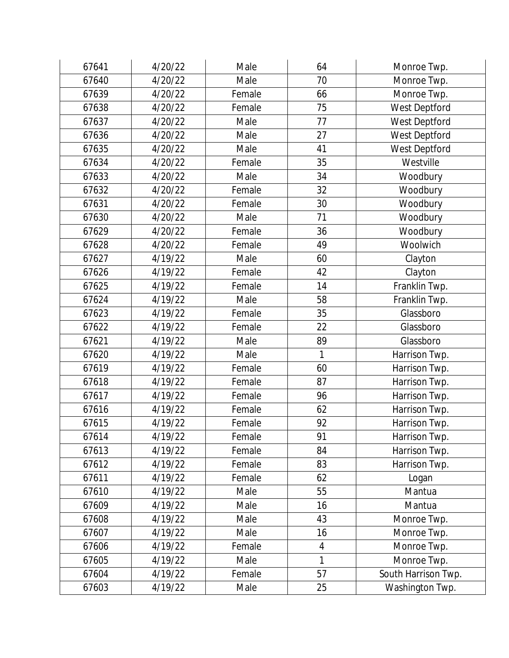| 67641 | 4/20/22 | Male   | 64             | Monroe Twp.         |
|-------|---------|--------|----------------|---------------------|
| 67640 | 4/20/22 | Male   | 70             | Monroe Twp.         |
| 67639 | 4/20/22 | Female | 66             | Monroe Twp.         |
| 67638 | 4/20/22 | Female | 75             | West Deptford       |
| 67637 | 4/20/22 | Male   | 77             | West Deptford       |
| 67636 | 4/20/22 | Male   | 27             | West Deptford       |
| 67635 | 4/20/22 | Male   | 41             | West Deptford       |
| 67634 | 4/20/22 | Female | 35             | Westville           |
| 67633 | 4/20/22 | Male   | 34             | Woodbury            |
| 67632 | 4/20/22 | Female | 32             | Woodbury            |
| 67631 | 4/20/22 | Female | 30             | Woodbury            |
| 67630 | 4/20/22 | Male   | 71             | Woodbury            |
| 67629 | 4/20/22 | Female | 36             | Woodbury            |
| 67628 | 4/20/22 | Female | 49             | Woolwich            |
| 67627 | 4/19/22 | Male   | 60             | Clayton             |
| 67626 | 4/19/22 | Female | 42             | Clayton             |
| 67625 | 4/19/22 | Female | 14             | Franklin Twp.       |
| 67624 | 4/19/22 | Male   | 58             | Franklin Twp.       |
| 67623 | 4/19/22 | Female | 35             | Glassboro           |
| 67622 | 4/19/22 | Female | 22             | Glassboro           |
| 67621 | 4/19/22 | Male   | 89             | Glassboro           |
| 67620 | 4/19/22 | Male   | 1              | Harrison Twp.       |
| 67619 | 4/19/22 | Female | 60             | Harrison Twp.       |
| 67618 | 4/19/22 | Female | 87             | Harrison Twp.       |
| 67617 | 4/19/22 | Female | 96             | Harrison Twp.       |
| 67616 | 4/19/22 | Female | 62             | Harrison Twp.       |
| 67615 | 4/19/22 | Female | 92             | Harrison Twp.       |
| 67614 | 4/19/22 | Female | 91             | Harrison Twp.       |
| 67613 | 4/19/22 | Female | 84             | Harrison Twp.       |
| 67612 | 4/19/22 | Female | 83             | Harrison Twp.       |
| 67611 | 4/19/22 | Female | 62             | Logan               |
| 67610 | 4/19/22 | Male   | 55             | Mantua              |
| 67609 | 4/19/22 | Male   | 16             | Mantua              |
| 67608 | 4/19/22 | Male   | 43             | Monroe Twp.         |
| 67607 | 4/19/22 | Male   | 16             | Monroe Twp.         |
| 67606 | 4/19/22 | Female | $\overline{4}$ | Monroe Twp.         |
| 67605 | 4/19/22 | Male   | $\mathbf{1}$   | Monroe Twp.         |
| 67604 | 4/19/22 | Female | 57             | South Harrison Twp. |
| 67603 | 4/19/22 | Male   | 25             | Washington Twp.     |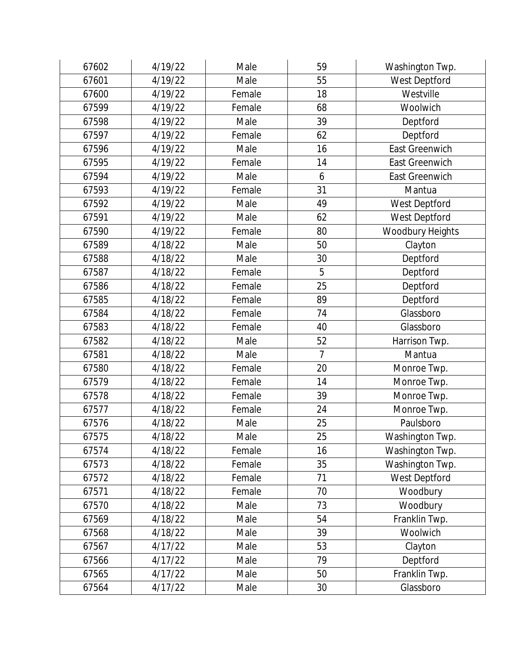| 67602 | 4/19/22 | Male   | 59             | Washington Twp.       |
|-------|---------|--------|----------------|-----------------------|
| 67601 | 4/19/22 | Male   | 55             | West Deptford         |
| 67600 | 4/19/22 | Female | 18             | Westville             |
| 67599 | 4/19/22 | Female | 68             | Woolwich              |
| 67598 | 4/19/22 | Male   | 39             | Deptford              |
| 67597 | 4/19/22 | Female | 62             | Deptford              |
| 67596 | 4/19/22 | Male   | 16             | <b>East Greenwich</b> |
| 67595 | 4/19/22 | Female | 14             | <b>East Greenwich</b> |
| 67594 | 4/19/22 | Male   | 6              | <b>East Greenwich</b> |
| 67593 | 4/19/22 | Female | 31             | Mantua                |
| 67592 | 4/19/22 | Male   | 49             | West Deptford         |
| 67591 | 4/19/22 | Male   | 62             | West Deptford         |
| 67590 | 4/19/22 | Female | 80             | Woodbury Heights      |
| 67589 | 4/18/22 | Male   | 50             | Clayton               |
| 67588 | 4/18/22 | Male   | 30             | Deptford              |
| 67587 | 4/18/22 | Female | 5              | Deptford              |
| 67586 | 4/18/22 | Female | 25             | Deptford              |
| 67585 | 4/18/22 | Female | 89             | Deptford              |
| 67584 | 4/18/22 | Female | 74             | Glassboro             |
| 67583 | 4/18/22 | Female | 40             | Glassboro             |
| 67582 | 4/18/22 | Male   | 52             | Harrison Twp.         |
| 67581 | 4/18/22 | Male   | $\overline{7}$ | Mantua                |
| 67580 | 4/18/22 | Female | 20             | Monroe Twp.           |
| 67579 | 4/18/22 | Female | 14             | Monroe Twp.           |
| 67578 | 4/18/22 | Female | 39             | Monroe Twp.           |
| 67577 | 4/18/22 | Female | 24             | Monroe Twp.           |
| 67576 | 4/18/22 | Male   | 25             | Paulsboro             |
| 67575 | 4/18/22 | Male   | 25             | Washington Twp.       |
| 67574 | 4/18/22 | Female | 16             | Washington Twp.       |
| 67573 | 4/18/22 | Female | 35             | Washington Twp.       |
| 67572 | 4/18/22 | Female | 71             | West Deptford         |
| 67571 | 4/18/22 | Female | 70             | Woodbury              |
| 67570 | 4/18/22 | Male   | 73             | Woodbury              |
| 67569 | 4/18/22 | Male   | 54             | Franklin Twp.         |
| 67568 | 4/18/22 | Male   | 39             | Woolwich              |
| 67567 | 4/17/22 | Male   | 53             | Clayton               |
| 67566 | 4/17/22 | Male   | 79             | Deptford              |
| 67565 | 4/17/22 | Male   | 50             | Franklin Twp.         |
| 67564 | 4/17/22 | Male   | 30             | Glassboro             |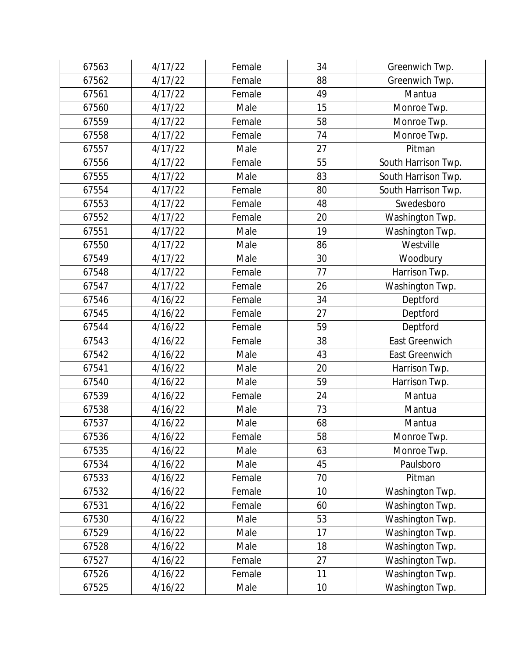| 67563 | 4/17/22 | Female | 34 | Greenwich Twp.        |
|-------|---------|--------|----|-----------------------|
| 67562 | 4/17/22 | Female | 88 | Greenwich Twp.        |
| 67561 | 4/17/22 | Female | 49 | Mantua                |
| 67560 | 4/17/22 | Male   | 15 | Monroe Twp.           |
| 67559 | 4/17/22 | Female | 58 | Monroe Twp.           |
| 67558 | 4/17/22 | Female | 74 | Monroe Twp.           |
| 67557 | 4/17/22 | Male   | 27 | Pitman                |
| 67556 | 4/17/22 | Female | 55 | South Harrison Twp.   |
| 67555 | 4/17/22 | Male   | 83 | South Harrison Twp.   |
| 67554 | 4/17/22 | Female | 80 | South Harrison Twp.   |
| 67553 | 4/17/22 | Female | 48 | Swedesboro            |
| 67552 | 4/17/22 | Female | 20 | Washington Twp.       |
| 67551 | 4/17/22 | Male   | 19 | Washington Twp.       |
| 67550 | 4/17/22 | Male   | 86 | Westville             |
| 67549 | 4/17/22 | Male   | 30 | Woodbury              |
| 67548 | 4/17/22 | Female | 77 | Harrison Twp.         |
| 67547 | 4/17/22 | Female | 26 | Washington Twp.       |
| 67546 | 4/16/22 | Female | 34 | Deptford              |
| 67545 | 4/16/22 | Female | 27 | Deptford              |
| 67544 | 4/16/22 | Female | 59 | Deptford              |
| 67543 | 4/16/22 | Female | 38 | <b>East Greenwich</b> |
| 67542 | 4/16/22 | Male   | 43 | East Greenwich        |
| 67541 | 4/16/22 | Male   | 20 | Harrison Twp.         |
| 67540 | 4/16/22 | Male   | 59 | Harrison Twp.         |
| 67539 | 4/16/22 | Female | 24 | Mantua                |
| 67538 | 4/16/22 | Male   | 73 | Mantua                |
| 67537 | 4/16/22 | Male   | 68 | Mantua                |
| 67536 | 4/16/22 | Female | 58 | Monroe Twp.           |
| 67535 | 4/16/22 | Male   | 63 | Monroe Twp.           |
| 67534 | 4/16/22 | Male   | 45 | Paulsboro             |
| 67533 | 4/16/22 | Female | 70 | Pitman                |
| 67532 | 4/16/22 | Female | 10 | Washington Twp.       |
| 67531 | 4/16/22 | Female | 60 | Washington Twp.       |
| 67530 | 4/16/22 | Male   | 53 | Washington Twp.       |
| 67529 | 4/16/22 | Male   | 17 | Washington Twp.       |
| 67528 | 4/16/22 | Male   | 18 | Washington Twp.       |
| 67527 | 4/16/22 | Female | 27 | Washington Twp.       |
| 67526 | 4/16/22 | Female | 11 | Washington Twp.       |
| 67525 | 4/16/22 | Male   | 10 | Washington Twp.       |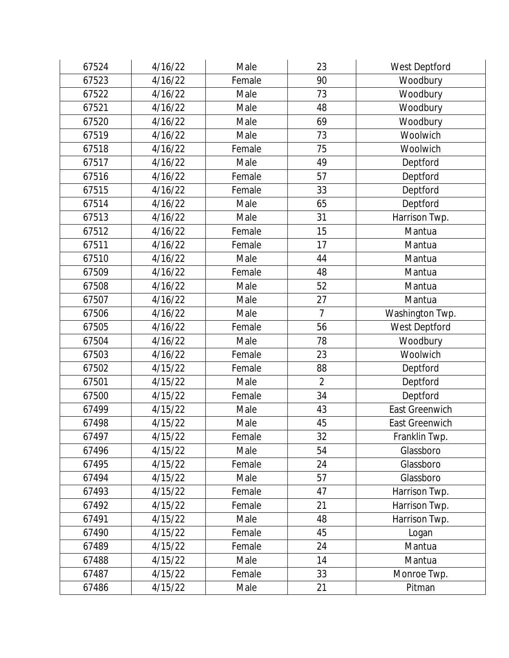| 67524 | 4/16/22 | Male   | 23             | West Deptford   |
|-------|---------|--------|----------------|-----------------|
| 67523 | 4/16/22 | Female | 90             | Woodbury        |
| 67522 | 4/16/22 | Male   | 73             | Woodbury        |
| 67521 | 4/16/22 | Male   | 48             | Woodbury        |
| 67520 | 4/16/22 | Male   | 69             | Woodbury        |
| 67519 | 4/16/22 | Male   | 73             | Woolwich        |
| 67518 | 4/16/22 | Female | 75             | Woolwich        |
| 67517 | 4/16/22 | Male   | 49             | Deptford        |
| 67516 | 4/16/22 | Female | 57             | Deptford        |
| 67515 | 4/16/22 | Female | 33             | Deptford        |
| 67514 | 4/16/22 | Male   | 65             | Deptford        |
| 67513 | 4/16/22 | Male   | 31             | Harrison Twp.   |
| 67512 | 4/16/22 | Female | 15             | Mantua          |
| 67511 | 4/16/22 | Female | 17             | Mantua          |
| 67510 | 4/16/22 | Male   | 44             | Mantua          |
| 67509 | 4/16/22 | Female | 48             | Mantua          |
| 67508 | 4/16/22 | Male   | 52             | Mantua          |
| 67507 | 4/16/22 | Male   | 27             | Mantua          |
| 67506 | 4/16/22 | Male   | $\overline{7}$ | Washington Twp. |
| 67505 | 4/16/22 | Female | 56             | West Deptford   |
| 67504 | 4/16/22 | Male   | 78             | Woodbury        |
| 67503 | 4/16/22 | Female | 23             | Woolwich        |
| 67502 | 4/15/22 | Female | 88             | Deptford        |
| 67501 | 4/15/22 | Male   | $\overline{2}$ | Deptford        |
| 67500 | 4/15/22 | Female | 34             | Deptford        |
| 67499 | 4/15/22 | Male   | 43             | East Greenwich  |
| 67498 | 4/15/22 | Male   | 45             | East Greenwich  |
| 67497 | 4/15/22 | Female | 32             | Franklin Twp.   |
| 67496 | 4/15/22 | Male   | 54             | Glassboro       |
| 67495 | 4/15/22 | Female | 24             | Glassboro       |
| 67494 | 4/15/22 | Male   | 57             | Glassboro       |
| 67493 | 4/15/22 | Female | 47             | Harrison Twp.   |
| 67492 | 4/15/22 | Female | 21             | Harrison Twp.   |
| 67491 | 4/15/22 | Male   | 48             | Harrison Twp.   |
| 67490 | 4/15/22 | Female | 45             | Logan           |
| 67489 | 4/15/22 | Female | 24             | Mantua          |
| 67488 | 4/15/22 | Male   | 14             | Mantua          |
| 67487 | 4/15/22 | Female | 33             | Monroe Twp.     |
| 67486 | 4/15/22 | Male   | 21             | Pitman          |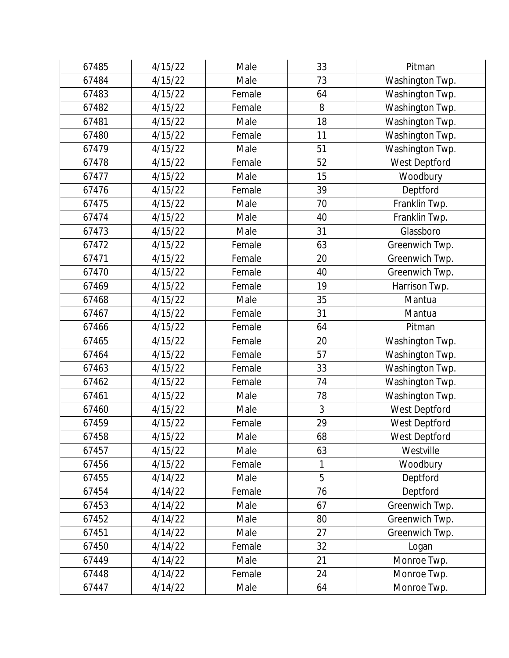| 67485 | 4/15/22 | Male   | 33 | Pitman          |
|-------|---------|--------|----|-----------------|
| 67484 | 4/15/22 | Male   | 73 | Washington Twp. |
| 67483 | 4/15/22 | Female | 64 | Washington Twp. |
| 67482 | 4/15/22 | Female | 8  | Washington Twp. |
| 67481 | 4/15/22 | Male   | 18 | Washington Twp. |
| 67480 | 4/15/22 | Female | 11 | Washington Twp. |
| 67479 | 4/15/22 | Male   | 51 | Washington Twp. |
| 67478 | 4/15/22 | Female | 52 | West Deptford   |
| 67477 | 4/15/22 | Male   | 15 | Woodbury        |
| 67476 | 4/15/22 | Female | 39 | Deptford        |
| 67475 | 4/15/22 | Male   | 70 | Franklin Twp.   |
| 67474 | 4/15/22 | Male   | 40 | Franklin Twp.   |
| 67473 | 4/15/22 | Male   | 31 | Glassboro       |
| 67472 | 4/15/22 | Female | 63 | Greenwich Twp.  |
| 67471 | 4/15/22 | Female | 20 | Greenwich Twp.  |
| 67470 | 4/15/22 | Female | 40 | Greenwich Twp.  |
| 67469 | 4/15/22 | Female | 19 | Harrison Twp.   |
| 67468 | 4/15/22 | Male   | 35 | Mantua          |
| 67467 | 4/15/22 | Female | 31 | Mantua          |
| 67466 | 4/15/22 | Female | 64 | Pitman          |
| 67465 | 4/15/22 | Female | 20 | Washington Twp. |
| 67464 | 4/15/22 | Female | 57 | Washington Twp. |
| 67463 | 4/15/22 | Female | 33 | Washington Twp. |
| 67462 | 4/15/22 | Female | 74 | Washington Twp. |
| 67461 | 4/15/22 | Male   | 78 | Washington Twp. |
| 67460 | 4/15/22 | Male   | 3  | West Deptford   |
| 67459 | 4/15/22 | Female | 29 | West Deptford   |
| 67458 | 4/15/22 | Male   | 68 | West Deptford   |
| 67457 | 4/15/22 | Male   | 63 | Westville       |
| 67456 | 4/15/22 | Female | 1  | Woodbury        |
| 67455 | 4/14/22 | Male   | 5  | Deptford        |
| 67454 | 4/14/22 | Female | 76 | Deptford        |
| 67453 | 4/14/22 | Male   | 67 | Greenwich Twp.  |
| 67452 | 4/14/22 | Male   | 80 | Greenwich Twp.  |
| 67451 | 4/14/22 | Male   | 27 | Greenwich Twp.  |
| 67450 | 4/14/22 | Female | 32 | Logan           |
| 67449 | 4/14/22 | Male   | 21 | Monroe Twp.     |
| 67448 | 4/14/22 | Female | 24 | Monroe Twp.     |
| 67447 | 4/14/22 | Male   | 64 | Monroe Twp.     |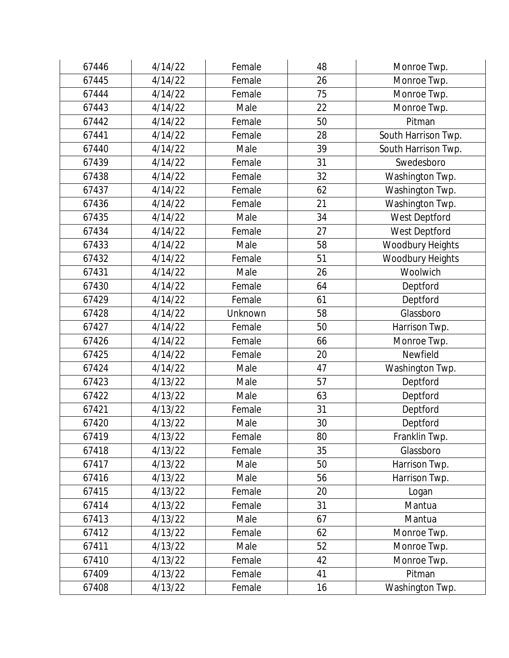| 67446 | 4/14/22 | Female  | 48 | Monroe Twp.         |
|-------|---------|---------|----|---------------------|
| 67445 | 4/14/22 | Female  | 26 | Monroe Twp.         |
| 67444 | 4/14/22 | Female  | 75 | Monroe Twp.         |
| 67443 | 4/14/22 | Male    | 22 | Monroe Twp.         |
| 67442 | 4/14/22 | Female  | 50 | Pitman              |
| 67441 | 4/14/22 | Female  | 28 | South Harrison Twp. |
| 67440 | 4/14/22 | Male    | 39 | South Harrison Twp. |
| 67439 | 4/14/22 | Female  | 31 | Swedesboro          |
| 67438 | 4/14/22 | Female  | 32 | Washington Twp.     |
| 67437 | 4/14/22 | Female  | 62 | Washington Twp.     |
| 67436 | 4/14/22 | Female  | 21 | Washington Twp.     |
| 67435 | 4/14/22 | Male    | 34 | West Deptford       |
| 67434 | 4/14/22 | Female  | 27 | West Deptford       |
| 67433 | 4/14/22 | Male    | 58 | Woodbury Heights    |
| 67432 | 4/14/22 | Female  | 51 | Woodbury Heights    |
| 67431 | 4/14/22 | Male    | 26 | Woolwich            |
| 67430 | 4/14/22 | Female  | 64 | Deptford            |
| 67429 | 4/14/22 | Female  | 61 | Deptford            |
| 67428 | 4/14/22 | Unknown | 58 | Glassboro           |
| 67427 | 4/14/22 | Female  | 50 | Harrison Twp.       |
| 67426 | 4/14/22 | Female  | 66 | Monroe Twp.         |
| 67425 | 4/14/22 | Female  | 20 | Newfield            |
| 67424 | 4/14/22 | Male    | 47 | Washington Twp.     |
| 67423 | 4/13/22 | Male    | 57 | Deptford            |
| 67422 | 4/13/22 | Male    | 63 | Deptford            |
| 67421 | 4/13/22 | Female  | 31 | Deptford            |
| 67420 | 4/13/22 | Male    | 30 | Deptford            |
| 67419 | 4/13/22 | Female  | 80 | Franklin Twp.       |
| 67418 | 4/13/22 | Female  | 35 | Glassboro           |
| 67417 | 4/13/22 | Male    | 50 | Harrison Twp.       |
| 67416 | 4/13/22 | Male    | 56 | Harrison Twp.       |
| 67415 | 4/13/22 | Female  | 20 | Logan               |
| 67414 | 4/13/22 | Female  | 31 | Mantua              |
| 67413 | 4/13/22 | Male    | 67 | Mantua              |
| 67412 | 4/13/22 | Female  | 62 | Monroe Twp.         |
| 67411 | 4/13/22 | Male    | 52 | Monroe Twp.         |
| 67410 | 4/13/22 | Female  | 42 | Monroe Twp.         |
| 67409 | 4/13/22 | Female  | 41 | Pitman              |
| 67408 | 4/13/22 | Female  | 16 | Washington Twp.     |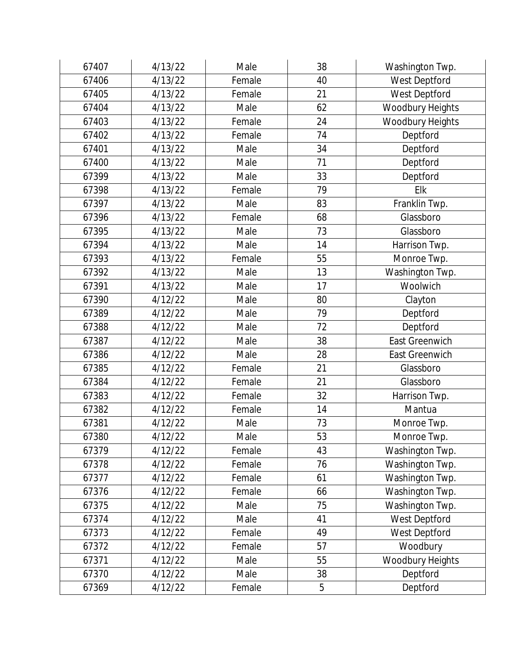| 67407 | 4/13/22 | Male   | 38 | Washington Twp.       |
|-------|---------|--------|----|-----------------------|
| 67406 | 4/13/22 | Female | 40 | West Deptford         |
| 67405 | 4/13/22 | Female | 21 | West Deptford         |
| 67404 | 4/13/22 | Male   | 62 | Woodbury Heights      |
| 67403 | 4/13/22 | Female | 24 | Woodbury Heights      |
| 67402 | 4/13/22 | Female | 74 | Deptford              |
| 67401 | 4/13/22 | Male   | 34 | Deptford              |
| 67400 | 4/13/22 | Male   | 71 | Deptford              |
| 67399 | 4/13/22 | Male   | 33 | Deptford              |
| 67398 | 4/13/22 | Female | 79 | Elk                   |
| 67397 | 4/13/22 | Male   | 83 | Franklin Twp.         |
| 67396 | 4/13/22 | Female | 68 | Glassboro             |
| 67395 | 4/13/22 | Male   | 73 | Glassboro             |
| 67394 | 4/13/22 | Male   | 14 | Harrison Twp.         |
| 67393 | 4/13/22 | Female | 55 | Monroe Twp.           |
| 67392 | 4/13/22 | Male   | 13 | Washington Twp.       |
| 67391 | 4/13/22 | Male   | 17 | Woolwich              |
| 67390 | 4/12/22 | Male   | 80 | Clayton               |
| 67389 | 4/12/22 | Male   | 79 | Deptford              |
| 67388 | 4/12/22 | Male   | 72 | Deptford              |
| 67387 | 4/12/22 | Male   | 38 | <b>East Greenwich</b> |
| 67386 | 4/12/22 | Male   | 28 | East Greenwich        |
| 67385 | 4/12/22 | Female | 21 | Glassboro             |
| 67384 | 4/12/22 | Female | 21 | Glassboro             |
| 67383 | 4/12/22 | Female | 32 | Harrison Twp.         |
| 67382 | 4/12/22 | Female | 14 | Mantua                |
| 67381 | 4/12/22 | Male   | 73 | Monroe Twp.           |
| 67380 | 4/12/22 | Male   | 53 | Monroe Twp.           |
| 67379 | 4/12/22 | Female | 43 | Washington Twp.       |
| 67378 | 4/12/22 | Female | 76 | Washington Twp.       |
| 67377 | 4/12/22 | Female | 61 | Washington Twp.       |
| 67376 | 4/12/22 | Female | 66 | Washington Twp.       |
| 67375 | 4/12/22 | Male   | 75 | Washington Twp.       |
| 67374 | 4/12/22 | Male   | 41 | West Deptford         |
| 67373 | 4/12/22 | Female | 49 | West Deptford         |
| 67372 | 4/12/22 | Female | 57 | Woodbury              |
| 67371 | 4/12/22 | Male   | 55 | Woodbury Heights      |
| 67370 | 4/12/22 | Male   | 38 | Deptford              |
| 67369 | 4/12/22 | Female | 5  | Deptford              |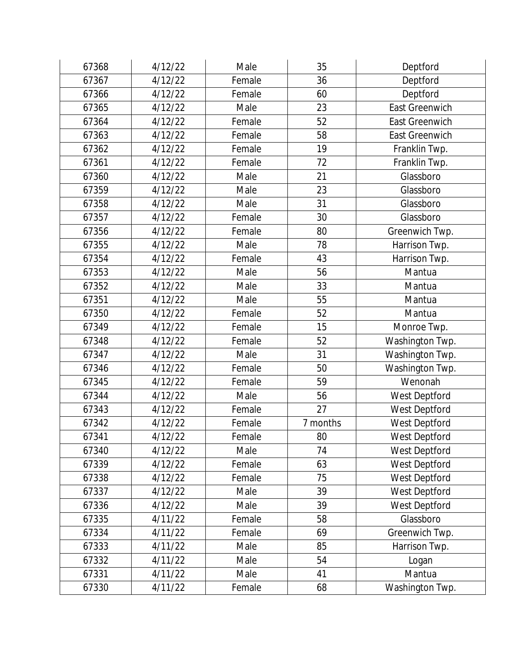| 67368 | 4/12/22 | Male   | 35       | Deptford              |
|-------|---------|--------|----------|-----------------------|
| 67367 | 4/12/22 | Female | 36       | Deptford              |
| 67366 | 4/12/22 | Female | 60       | Deptford              |
| 67365 | 4/12/22 | Male   | 23       | <b>East Greenwich</b> |
| 67364 | 4/12/22 | Female | 52       | <b>East Greenwich</b> |
| 67363 | 4/12/22 | Female | 58       | <b>East Greenwich</b> |
| 67362 | 4/12/22 | Female | 19       | Franklin Twp.         |
| 67361 | 4/12/22 | Female | 72       | Franklin Twp.         |
| 67360 | 4/12/22 | Male   | 21       | Glassboro             |
| 67359 | 4/12/22 | Male   | 23       | Glassboro             |
| 67358 | 4/12/22 | Male   | 31       | Glassboro             |
| 67357 | 4/12/22 | Female | 30       | Glassboro             |
| 67356 | 4/12/22 | Female | 80       | Greenwich Twp.        |
| 67355 | 4/12/22 | Male   | 78       | Harrison Twp.         |
| 67354 | 4/12/22 | Female | 43       | Harrison Twp.         |
| 67353 | 4/12/22 | Male   | 56       | Mantua                |
| 67352 | 4/12/22 | Male   | 33       | Mantua                |
| 67351 | 4/12/22 | Male   | 55       | Mantua                |
| 67350 | 4/12/22 | Female | 52       | Mantua                |
| 67349 | 4/12/22 | Female | 15       | Monroe Twp.           |
| 67348 | 4/12/22 | Female | 52       | Washington Twp.       |
| 67347 | 4/12/22 | Male   | 31       | Washington Twp.       |
| 67346 | 4/12/22 | Female | 50       | Washington Twp.       |
| 67345 | 4/12/22 | Female | 59       | Wenonah               |
| 67344 | 4/12/22 | Male   | 56       | West Deptford         |
| 67343 | 4/12/22 | Female | 27       | West Deptford         |
| 67342 | 4/12/22 | Female | 7 months | West Deptford         |
| 67341 | 4/12/22 | Female | 80       | West Deptford         |
| 67340 | 4/12/22 | Male   | 74       | West Deptford         |
| 67339 | 4/12/22 | Female | 63       | West Deptford         |
| 67338 | 4/12/22 | Female | 75       | West Deptford         |
| 67337 | 4/12/22 | Male   | 39       | West Deptford         |
| 67336 | 4/12/22 | Male   | 39       | West Deptford         |
| 67335 | 4/11/22 | Female | 58       | Glassboro             |
| 67334 | 4/11/22 | Female | 69       | Greenwich Twp.        |
| 67333 | 4/11/22 | Male   | 85       | Harrison Twp.         |
| 67332 | 4/11/22 | Male   | 54       | Logan                 |
| 67331 | 4/11/22 | Male   | 41       | Mantua                |
| 67330 | 4/11/22 | Female | 68       | Washington Twp.       |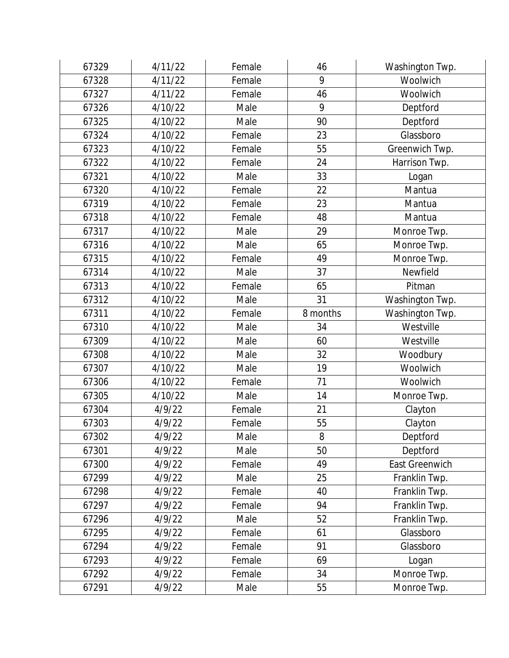| 67329 | 4/11/22 | Female | 46       | Washington Twp. |
|-------|---------|--------|----------|-----------------|
| 67328 | 4/11/22 | Female | 9        | Woolwich        |
| 67327 | 4/11/22 | Female | 46       | Woolwich        |
| 67326 | 4/10/22 | Male   | 9        | Deptford        |
| 67325 | 4/10/22 | Male   | 90       | Deptford        |
| 67324 | 4/10/22 | Female | 23       | Glassboro       |
| 67323 | 4/10/22 | Female | 55       | Greenwich Twp.  |
| 67322 | 4/10/22 | Female | 24       | Harrison Twp.   |
| 67321 | 4/10/22 | Male   | 33       | Logan           |
| 67320 | 4/10/22 | Female | 22       | Mantua          |
| 67319 | 4/10/22 | Female | 23       | Mantua          |
| 67318 | 4/10/22 | Female | 48       | Mantua          |
| 67317 | 4/10/22 | Male   | 29       | Monroe Twp.     |
| 67316 | 4/10/22 | Male   | 65       | Monroe Twp.     |
| 67315 | 4/10/22 | Female | 49       | Monroe Twp.     |
| 67314 | 4/10/22 | Male   | 37       | Newfield        |
| 67313 | 4/10/22 | Female | 65       | Pitman          |
| 67312 | 4/10/22 | Male   | 31       | Washington Twp. |
| 67311 | 4/10/22 | Female | 8 months | Washington Twp. |
| 67310 | 4/10/22 | Male   | 34       | Westville       |
| 67309 | 4/10/22 | Male   | 60       | Westville       |
| 67308 | 4/10/22 | Male   | 32       | Woodbury        |
| 67307 | 4/10/22 | Male   | 19       | Woolwich        |
| 67306 | 4/10/22 | Female | 71       | Woolwich        |
| 67305 | 4/10/22 | Male   | 14       | Monroe Twp.     |
| 67304 | 4/9/22  | Female | 21       | Clayton         |
| 67303 | 4/9/22  | Female | 55       | Clayton         |
| 67302 | 4/9/22  | Male   | 8        | Deptford        |
| 67301 | 4/9/22  | Male   | 50       | Deptford        |
| 67300 | 4/9/22  | Female | 49       | East Greenwich  |
| 67299 | 4/9/22  | Male   | 25       | Franklin Twp.   |
| 67298 | 4/9/22  | Female | 40       | Franklin Twp.   |
| 67297 | 4/9/22  | Female | 94       | Franklin Twp.   |
| 67296 | 4/9/22  | Male   | 52       | Franklin Twp.   |
| 67295 | 4/9/22  | Female | 61       | Glassboro       |
| 67294 | 4/9/22  | Female | 91       | Glassboro       |
| 67293 | 4/9/22  | Female | 69       | Logan           |
| 67292 | 4/9/22  | Female | 34       | Monroe Twp.     |
| 67291 | 4/9/22  | Male   | 55       | Monroe Twp.     |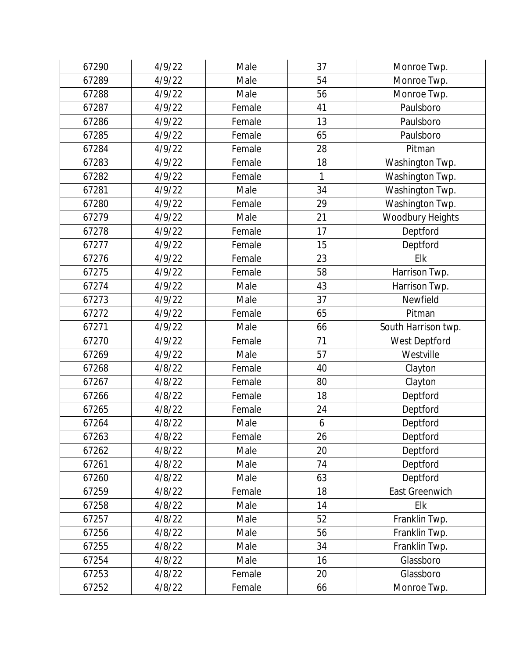| 67290 | 4/9/22 | Male   | 37 | Monroe Twp.         |
|-------|--------|--------|----|---------------------|
| 67289 | 4/9/22 | Male   | 54 | Monroe Twp.         |
| 67288 | 4/9/22 | Male   | 56 | Monroe Twp.         |
| 67287 | 4/9/22 | Female | 41 | Paulsboro           |
| 67286 | 4/9/22 | Female | 13 | Paulsboro           |
| 67285 | 4/9/22 | Female | 65 | Paulsboro           |
| 67284 | 4/9/22 | Female | 28 | Pitman              |
| 67283 | 4/9/22 | Female | 18 | Washington Twp.     |
| 67282 | 4/9/22 | Female | 1  | Washington Twp.     |
| 67281 | 4/9/22 | Male   | 34 | Washington Twp.     |
| 67280 | 4/9/22 | Female | 29 | Washington Twp.     |
| 67279 | 4/9/22 | Male   | 21 | Woodbury Heights    |
| 67278 | 4/9/22 | Female | 17 | Deptford            |
| 67277 | 4/9/22 | Female | 15 | Deptford            |
| 67276 | 4/9/22 | Female | 23 | Elk                 |
| 67275 | 4/9/22 | Female | 58 | Harrison Twp.       |
| 67274 | 4/9/22 | Male   | 43 | Harrison Twp.       |
| 67273 | 4/9/22 | Male   | 37 | Newfield            |
| 67272 | 4/9/22 | Female | 65 | Pitman              |
| 67271 | 4/9/22 | Male   | 66 | South Harrison twp. |
| 67270 | 4/9/22 | Female | 71 | West Deptford       |
| 67269 | 4/9/22 | Male   | 57 | Westville           |
| 67268 | 4/8/22 | Female | 40 | Clayton             |
| 67267 | 4/8/22 | Female | 80 | Clayton             |
| 67266 | 4/8/22 | Female | 18 | Deptford            |
| 67265 | 4/8/22 | Female | 24 | Deptford            |
| 67264 | 4/8/22 | Male   | 6  | Deptford            |
| 67263 | 4/8/22 | Female | 26 | Deptford            |
| 67262 | 4/8/22 | Male   | 20 | Deptford            |
| 67261 | 4/8/22 | Male   | 74 | Deptford            |
| 67260 | 4/8/22 | Male   | 63 | Deptford            |
| 67259 | 4/8/22 | Female | 18 | East Greenwich      |
| 67258 | 4/8/22 | Male   | 14 | Elk                 |
| 67257 | 4/8/22 | Male   | 52 | Franklin Twp.       |
| 67256 | 4/8/22 | Male   | 56 | Franklin Twp.       |
| 67255 | 4/8/22 | Male   | 34 | Franklin Twp.       |
| 67254 | 4/8/22 | Male   | 16 | Glassboro           |
| 67253 | 4/8/22 | Female | 20 | Glassboro           |
| 67252 | 4/8/22 | Female | 66 | Monroe Twp.         |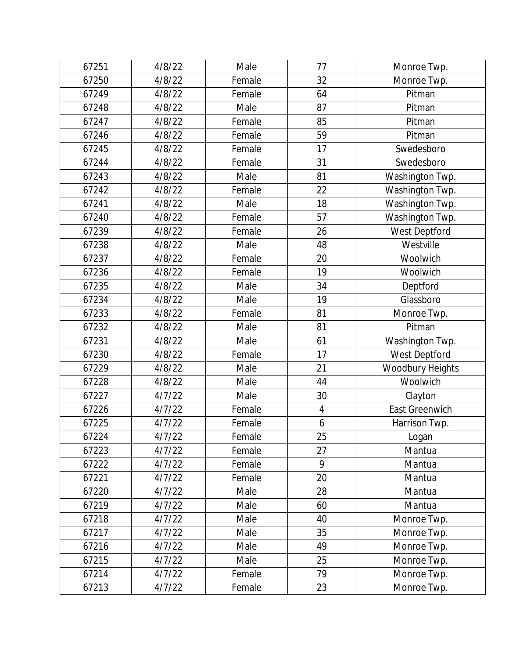| 67251 | 4/8/22 | Male   | 77               | Monroe Twp.      |
|-------|--------|--------|------------------|------------------|
| 67250 | 4/8/22 | Female | 32               | Monroe Twp.      |
| 67249 | 4/8/22 | Female | 64               | Pitman           |
| 67248 | 4/8/22 | Male   | 87               | Pitman           |
| 67247 | 4/8/22 | Female | 85               | Pitman           |
| 67246 | 4/8/22 | Female | 59               | Pitman           |
| 67245 | 4/8/22 | Female | 17               | Swedesboro       |
| 67244 | 4/8/22 | Female | 31               | Swedesboro       |
| 67243 | 4/8/22 | Male   | 81               | Washington Twp.  |
| 67242 | 4/8/22 | Female | 22               | Washington Twp.  |
| 67241 | 4/8/22 | Male   | 18               | Washington Twp.  |
| 67240 | 4/8/22 | Female | 57               | Washington Twp.  |
| 67239 | 4/8/22 | Female | 26               | West Deptford    |
| 67238 | 4/8/22 | Male   | 48               | Westville        |
| 67237 | 4/8/22 | Female | 20               | Woolwich         |
| 67236 | 4/8/22 | Female | 19               | Woolwich         |
| 67235 | 4/8/22 | Male   | 34               | Deptford         |
| 67234 | 4/8/22 | Male   | 19               | Glassboro        |
| 67233 | 4/8/22 | Female | 81               | Monroe Twp.      |
| 67232 | 4/8/22 | Male   | 81               | Pitman           |
| 67231 | 4/8/22 | Male   | 61               | Washington Twp.  |
| 67230 | 4/8/22 | Female | 17               | West Deptford    |
| 67229 | 4/8/22 | Male   | 21               | Woodbury Heights |
| 67228 | 4/8/22 | Male   | 44               | Woolwich         |
| 67227 | 4/7/22 | Male   | 30               | Clayton          |
| 67226 | 4/7/22 | Female | $\overline{4}$   | East Greenwich   |
| 67225 | 4/7/22 | Female | $\boldsymbol{6}$ | Harrison Twp.    |
| 67224 | 4/7/22 | Female | 25               | Logan            |
| 67223 | 4/7/22 | Female | 27               | Mantua           |
| 67222 | 4/7/22 | Female | 9                | Mantua           |
| 67221 | 4/7/22 | Female | 20               | Mantua           |
| 67220 | 4/7/22 | Male   | 28               | Mantua           |
| 67219 | 4/7/22 | Male   | 60               | Mantua           |
| 67218 | 4/7/22 | Male   | 40               | Monroe Twp.      |
| 67217 | 4/7/22 | Male   | 35               | Monroe Twp.      |
| 67216 | 4/7/22 | Male   | 49               | Monroe Twp.      |
| 67215 | 4/7/22 | Male   | 25               | Monroe Twp.      |
| 67214 | 4/7/22 | Female | 79               | Monroe Twp.      |
| 67213 | 4/7/22 | Female | 23               | Monroe Twp.      |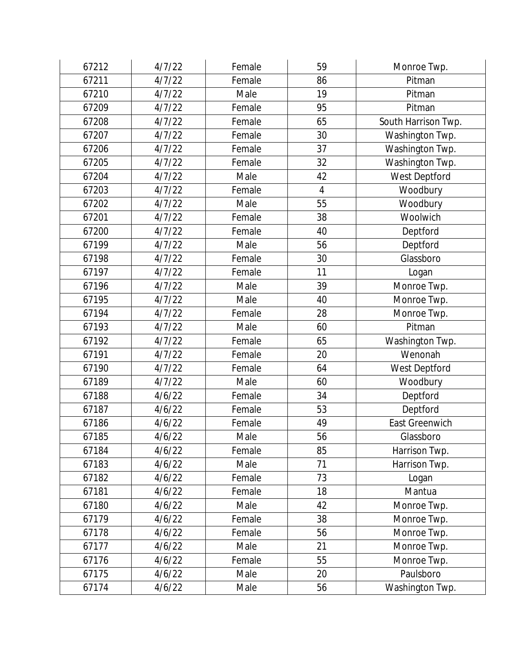| 67212 | 4/7/22 | Female | 59             | Monroe Twp.           |
|-------|--------|--------|----------------|-----------------------|
| 67211 | 4/7/22 | Female | 86             | Pitman                |
| 67210 | 4/7/22 | Male   | 19             | Pitman                |
| 67209 | 4/7/22 | Female | 95             | Pitman                |
| 67208 | 4/7/22 | Female | 65             | South Harrison Twp.   |
| 67207 | 4/7/22 | Female | 30             | Washington Twp.       |
| 67206 | 4/7/22 | Female | 37             | Washington Twp.       |
| 67205 | 4/7/22 | Female | 32             | Washington Twp.       |
| 67204 | 4/7/22 | Male   | 42             | West Deptford         |
| 67203 | 4/7/22 | Female | $\overline{4}$ | Woodbury              |
| 67202 | 4/7/22 | Male   | 55             | Woodbury              |
| 67201 | 4/7/22 | Female | 38             | Woolwich              |
| 67200 | 4/7/22 | Female | 40             | Deptford              |
| 67199 | 4/7/22 | Male   | 56             | Deptford              |
| 67198 | 4/7/22 | Female | 30             | Glassboro             |
| 67197 | 4/7/22 | Female | 11             | Logan                 |
| 67196 | 4/7/22 | Male   | 39             | Monroe Twp.           |
| 67195 | 4/7/22 | Male   | 40             | Monroe Twp.           |
| 67194 | 4/7/22 | Female | 28             | Monroe Twp.           |
| 67193 | 4/7/22 | Male   | 60             | Pitman                |
| 67192 | 4/7/22 | Female | 65             | Washington Twp.       |
| 67191 | 4/7/22 | Female | 20             | Wenonah               |
| 67190 | 4/7/22 | Female | 64             | West Deptford         |
| 67189 | 4/7/22 | Male   | 60             | Woodbury              |
| 67188 | 4/6/22 | Female | 34             | Deptford              |
| 67187 | 4/6/22 | Female | 53             | Deptford              |
| 67186 | 4/6/22 | Female | 49             | <b>East Greenwich</b> |
| 67185 | 4/6/22 | Male   | 56             | Glassboro             |
| 67184 | 4/6/22 | Female | 85             | Harrison Twp.         |
| 67183 | 4/6/22 | Male   | 71             | Harrison Twp.         |
| 67182 | 4/6/22 | Female | 73             | Logan                 |
| 67181 | 4/6/22 | Female | 18             | Mantua                |
| 67180 | 4/6/22 | Male   | 42             | Monroe Twp.           |
| 67179 | 4/6/22 | Female | 38             | Monroe Twp.           |
| 67178 | 4/6/22 | Female | 56             | Monroe Twp.           |
| 67177 | 4/6/22 | Male   | 21             | Monroe Twp.           |
| 67176 | 4/6/22 | Female | 55             | Monroe Twp.           |
| 67175 | 4/6/22 | Male   | 20             | Paulsboro             |
| 67174 | 4/6/22 | Male   | 56             | Washington Twp.       |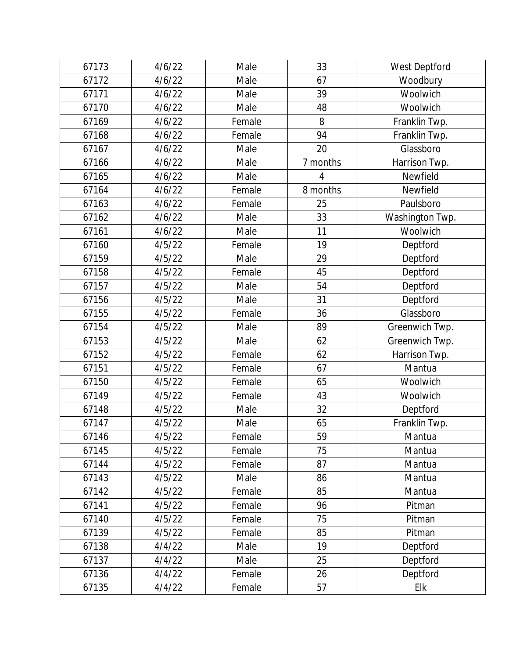| 67173 | 4/6/22 | Male   | 33       | West Deptford   |
|-------|--------|--------|----------|-----------------|
| 67172 | 4/6/22 | Male   | 67       | Woodbury        |
| 67171 | 4/6/22 | Male   | 39       | Woolwich        |
| 67170 | 4/6/22 | Male   | 48       | Woolwich        |
| 67169 | 4/6/22 | Female | 8        | Franklin Twp.   |
| 67168 | 4/6/22 | Female | 94       | Franklin Twp.   |
| 67167 | 4/6/22 | Male   | 20       | Glassboro       |
| 67166 | 4/6/22 | Male   | 7 months | Harrison Twp.   |
| 67165 | 4/6/22 | Male   | 4        | Newfield        |
| 67164 | 4/6/22 | Female | 8 months | Newfield        |
| 67163 | 4/6/22 | Female | 25       | Paulsboro       |
| 67162 | 4/6/22 | Male   | 33       | Washington Twp. |
| 67161 | 4/6/22 | Male   | 11       | Woolwich        |
| 67160 | 4/5/22 | Female | 19       | Deptford        |
| 67159 | 4/5/22 | Male   | 29       | Deptford        |
| 67158 | 4/5/22 | Female | 45       | Deptford        |
| 67157 | 4/5/22 | Male   | 54       | Deptford        |
| 67156 | 4/5/22 | Male   | 31       | Deptford        |
| 67155 | 4/5/22 | Female | 36       | Glassboro       |
| 67154 | 4/5/22 | Male   | 89       | Greenwich Twp.  |
| 67153 | 4/5/22 | Male   | 62       | Greenwich Twp.  |
| 67152 | 4/5/22 | Female | 62       | Harrison Twp.   |
| 67151 | 4/5/22 | Female | 67       | Mantua          |
| 67150 | 4/5/22 | Female | 65       | Woolwich        |
| 67149 | 4/5/22 | Female | 43       | Woolwich        |
| 67148 | 4/5/22 | Male   | 32       | Deptford        |
| 67147 | 4/5/22 | Male   | 65       | Franklin Twp.   |
| 67146 | 4/5/22 | Female | 59       | Mantua          |
| 67145 | 4/5/22 | Female | 75       | Mantua          |
| 67144 | 4/5/22 | Female | 87       | Mantua          |
| 67143 | 4/5/22 | Male   | 86       | Mantua          |
| 67142 | 4/5/22 | Female | 85       | Mantua          |
| 67141 | 4/5/22 | Female | 96       | Pitman          |
| 67140 | 4/5/22 | Female | 75       | Pitman          |
| 67139 | 4/5/22 | Female | 85       | Pitman          |
| 67138 | 4/4/22 | Male   | 19       | Deptford        |
| 67137 | 4/4/22 | Male   | 25       | Deptford        |
| 67136 | 4/4/22 | Female | 26       | Deptford        |
| 67135 | 4/4/22 | Female | 57       | Elk             |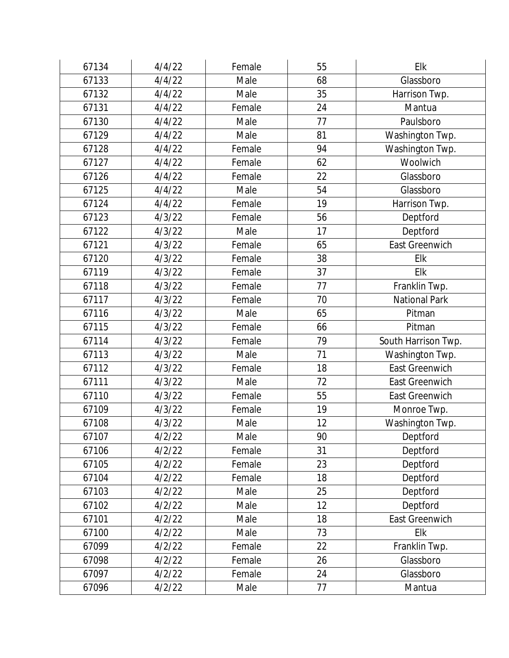| 67134 | 4/4/22 | Female | 55 | Elk                   |
|-------|--------|--------|----|-----------------------|
| 67133 | 4/4/22 | Male   | 68 | Glassboro             |
| 67132 | 4/4/22 | Male   | 35 | Harrison Twp.         |
| 67131 | 4/4/22 | Female | 24 | Mantua                |
| 67130 | 4/4/22 | Male   | 77 | Paulsboro             |
| 67129 | 4/4/22 | Male   | 81 | Washington Twp.       |
| 67128 | 4/4/22 | Female | 94 | Washington Twp.       |
| 67127 | 4/4/22 | Female | 62 | Woolwich              |
| 67126 | 4/4/22 | Female | 22 | Glassboro             |
| 67125 | 4/4/22 | Male   | 54 | Glassboro             |
| 67124 | 4/4/22 | Female | 19 | Harrison Twp.         |
| 67123 | 4/3/22 | Female | 56 | Deptford              |
| 67122 | 4/3/22 | Male   | 17 | Deptford              |
| 67121 | 4/3/22 | Female | 65 | East Greenwich        |
| 67120 | 4/3/22 | Female | 38 | Elk                   |
| 67119 | 4/3/22 | Female | 37 | Elk                   |
| 67118 | 4/3/22 | Female | 77 | Franklin Twp.         |
| 67117 | 4/3/22 | Female | 70 | <b>National Park</b>  |
| 67116 | 4/3/22 | Male   | 65 | Pitman                |
| 67115 | 4/3/22 | Female | 66 | Pitman                |
| 67114 | 4/3/22 | Female | 79 | South Harrison Twp.   |
| 67113 | 4/3/22 | Male   | 71 | Washington Twp.       |
| 67112 | 4/3/22 | Female | 18 | East Greenwich        |
| 67111 | 4/3/22 | Male   | 72 | <b>East Greenwich</b> |
| 67110 | 4/3/22 | Female | 55 | East Greenwich        |
| 67109 | 4/3/22 | Female | 19 | Monroe Twp.           |
| 67108 | 4/3/22 | Male   | 12 | Washington Twp.       |
| 67107 | 4/2/22 | Male   | 90 | Deptford              |
| 67106 | 4/2/22 | Female | 31 | Deptford              |
| 67105 | 4/2/22 | Female | 23 | Deptford              |
| 67104 | 4/2/22 | Female | 18 | Deptford              |
| 67103 | 4/2/22 | Male   | 25 | Deptford              |
| 67102 | 4/2/22 | Male   | 12 | Deptford              |
| 67101 | 4/2/22 | Male   | 18 | East Greenwich        |
| 67100 | 4/2/22 | Male   | 73 | Elk                   |
| 67099 | 4/2/22 | Female | 22 | Franklin Twp.         |
| 67098 | 4/2/22 | Female | 26 | Glassboro             |
| 67097 | 4/2/22 | Female | 24 | Glassboro             |
| 67096 | 4/2/22 | Male   | 77 | Mantua                |